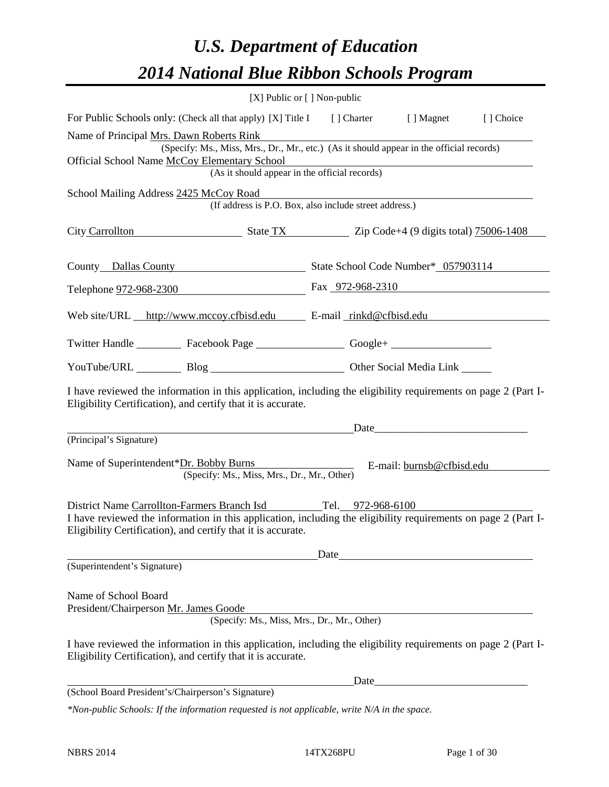# *U.S. Department of Education 2014 National Blue Ribbon Schools Program*

|                                                                                                                                                                                                                                                                                                                                |  | $[X]$ Public or $[ ]$ Non-public |                           |  |  |
|--------------------------------------------------------------------------------------------------------------------------------------------------------------------------------------------------------------------------------------------------------------------------------------------------------------------------------|--|----------------------------------|---------------------------|--|--|
| For Public Schools only: (Check all that apply) [X] Title I [] Charter [] Magnet<br>[] Choice                                                                                                                                                                                                                                  |  |                                  |                           |  |  |
| Name of Principal Mrs. Dawn Roberts Rink<br>(Specify: Ms., Miss, Mrs., Dr., Mr., etc.) (As it should appear in the official records)<br>Official School Name McCoy Elementary School<br>(As it should appear in the official records)                                                                                          |  |                                  |                           |  |  |
| School Mailing Address 2425 McCoy Road<br>(If address is P.O. Box, also include street address.)                                                                                                                                                                                                                               |  |                                  |                           |  |  |
| City Carrollton State TX State TX Zip Code+4 (9 digits total) 75006-1408                                                                                                                                                                                                                                                       |  |                                  |                           |  |  |
| County Dallas County State School Code Number* 057903114                                                                                                                                                                                                                                                                       |  |                                  |                           |  |  |
| Telephone <u>972-968-2300</u> Fax 972-968-2310                                                                                                                                                                                                                                                                                 |  |                                  |                           |  |  |
| Web site/URL http://www.mccoy.cfbisd.edu E-mail rinkd@cfbisd.edu                                                                                                                                                                                                                                                               |  |                                  |                           |  |  |
| Twitter Handle ___________ Facebook Page ___________________ Google+ ____________                                                                                                                                                                                                                                              |  |                                  |                           |  |  |
| YouTube/URL Blog Blog Discount Other Social Media Link                                                                                                                                                                                                                                                                         |  |                                  |                           |  |  |
| I have reviewed the information in this application, including the eligibility requirements on page 2 (Part I-<br>Eligibility Certification), and certify that it is accurate.                                                                                                                                                 |  |                                  |                           |  |  |
|                                                                                                                                                                                                                                                                                                                                |  |                                  | Date                      |  |  |
| (Principal's Signature)<br>Name of Superintendent*Dr. Bobby Burns<br>(Specify: Ms., Miss, Mrs., Dr., Mr., Other)                                                                                                                                                                                                               |  |                                  | E-mail: burnsb@cfbisd.edu |  |  |
| District Name Carrollton-Farmers Branch Isd Tel. 972-968-6100<br>I have reviewed the information in this application, including the eligibility requirements on page 2 (Part I-<br>Eligibility Certification), and certify that it is accurate.                                                                                |  |                                  |                           |  |  |
|                                                                                                                                                                                                                                                                                                                                |  | Date                             |                           |  |  |
| (Superintendent's Signature)<br>Name of School Board<br>President/Chairperson Mr. James Goode<br>(Specify: Ms., Miss, Mrs., Dr., Mr., Other)<br>I have reviewed the information in this application, including the eligibility requirements on page 2 (Part I-<br>Eligibility Certification), and certify that it is accurate. |  |                                  |                           |  |  |
|                                                                                                                                                                                                                                                                                                                                |  | Date                             |                           |  |  |
| (School Board President's/Chairperson's Signature)                                                                                                                                                                                                                                                                             |  |                                  |                           |  |  |
| *Non-public Schools: If the information requested is not applicable, write N/A in the space.                                                                                                                                                                                                                                   |  |                                  |                           |  |  |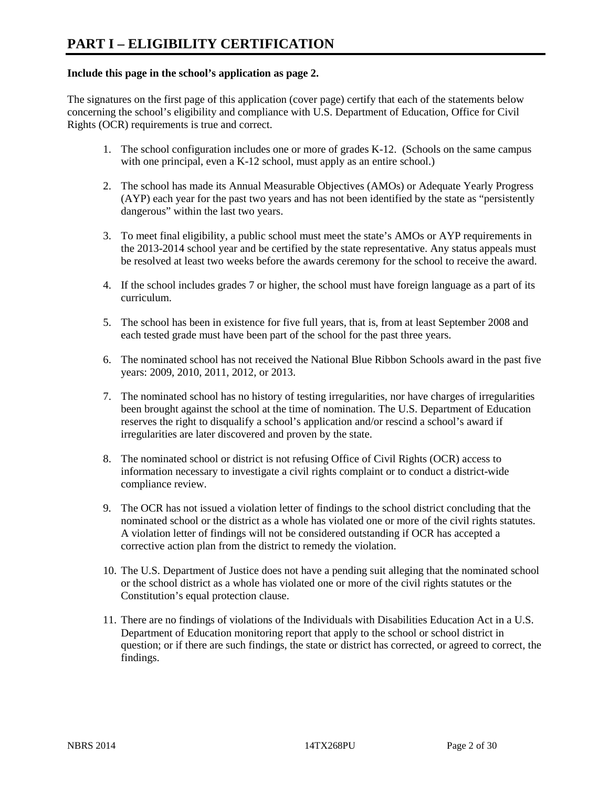#### **Include this page in the school's application as page 2.**

The signatures on the first page of this application (cover page) certify that each of the statements below concerning the school's eligibility and compliance with U.S. Department of Education, Office for Civil Rights (OCR) requirements is true and correct.

- 1. The school configuration includes one or more of grades K-12. (Schools on the same campus with one principal, even a K-12 school, must apply as an entire school.)
- 2. The school has made its Annual Measurable Objectives (AMOs) or Adequate Yearly Progress (AYP) each year for the past two years and has not been identified by the state as "persistently dangerous" within the last two years.
- 3. To meet final eligibility, a public school must meet the state's AMOs or AYP requirements in the 2013-2014 school year and be certified by the state representative. Any status appeals must be resolved at least two weeks before the awards ceremony for the school to receive the award.
- 4. If the school includes grades 7 or higher, the school must have foreign language as a part of its curriculum.
- 5. The school has been in existence for five full years, that is, from at least September 2008 and each tested grade must have been part of the school for the past three years.
- 6. The nominated school has not received the National Blue Ribbon Schools award in the past five years: 2009, 2010, 2011, 2012, or 2013.
- 7. The nominated school has no history of testing irregularities, nor have charges of irregularities been brought against the school at the time of nomination. The U.S. Department of Education reserves the right to disqualify a school's application and/or rescind a school's award if irregularities are later discovered and proven by the state.
- 8. The nominated school or district is not refusing Office of Civil Rights (OCR) access to information necessary to investigate a civil rights complaint or to conduct a district-wide compliance review.
- 9. The OCR has not issued a violation letter of findings to the school district concluding that the nominated school or the district as a whole has violated one or more of the civil rights statutes. A violation letter of findings will not be considered outstanding if OCR has accepted a corrective action plan from the district to remedy the violation.
- 10. The U.S. Department of Justice does not have a pending suit alleging that the nominated school or the school district as a whole has violated one or more of the civil rights statutes or the Constitution's equal protection clause.
- 11. There are no findings of violations of the Individuals with Disabilities Education Act in a U.S. Department of Education monitoring report that apply to the school or school district in question; or if there are such findings, the state or district has corrected, or agreed to correct, the findings.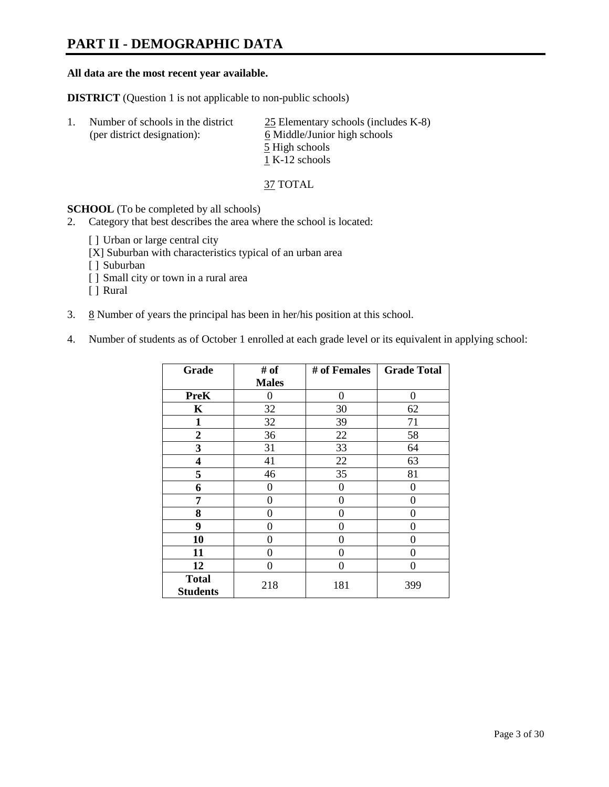### **PART II - DEMOGRAPHIC DATA**

#### **All data are the most recent year available.**

**DISTRICT** (Question 1 is not applicable to non-public schools)

| -1. | Number of schools in the district<br>(per district designation): | $25$ Elementary schools (includes K-8)<br>6 Middle/Junior high schools<br>5 High schools |
|-----|------------------------------------------------------------------|------------------------------------------------------------------------------------------|
|     |                                                                  | 1 K-12 schools                                                                           |

37 TOTAL

**SCHOOL** (To be completed by all schools)

- 2. Category that best describes the area where the school is located:
	- [ ] Urban or large central city
	- [X] Suburban with characteristics typical of an urban area
	- [ ] Suburban
	- [ ] Small city or town in a rural area
	- [ ] Rural
- 3.  $8$  Number of years the principal has been in her/his position at this school.
- 4. Number of students as of October 1 enrolled at each grade level or its equivalent in applying school:

| Grade                           | # of         | # of Females | <b>Grade Total</b> |
|---------------------------------|--------------|--------------|--------------------|
|                                 | <b>Males</b> |              |                    |
| <b>PreK</b>                     | 0            | $\theta$     | $\Omega$           |
| K                               | 32           | 30           | 62                 |
| $\mathbf{1}$                    | 32           | 39           | 71                 |
| $\mathbf{2}$                    | 36           | 22           | 58                 |
| 3                               | 31           | 33           | 64                 |
| 4                               | 41           | 22           | 63                 |
| 5                               | 46           | 35           | 81                 |
| 6                               | 0            | 0            | 0                  |
| 7                               | 0            | $\theta$     | 0                  |
| 8                               | 0            | 0            | 0                  |
| 9                               | 0            | 0            | 0                  |
| 10                              | 0            | $\Omega$     | 0                  |
| 11                              | 0            | 0            | 0                  |
| 12                              | 0            | 0            | 0                  |
| <b>Total</b><br><b>Students</b> | 218          | 181          | 399                |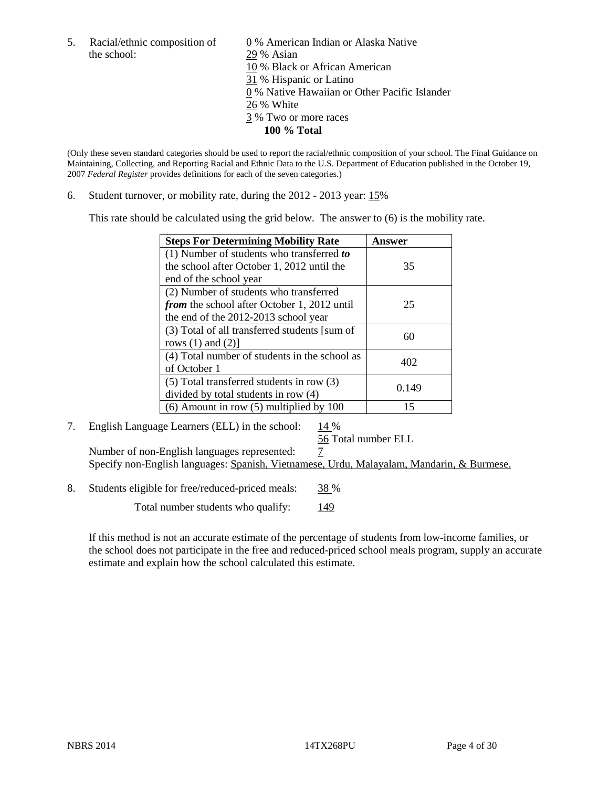the school: 29 % Asian

5. Racial/ethnic composition of  $\qquad \qquad \underline{0}$  % American Indian or Alaska Native 10 % Black or African American 31 % Hispanic or Latino 0 % Native Hawaiian or Other Pacific Islander 26 % White 3 % Two or more races **100 % Total**

(Only these seven standard categories should be used to report the racial/ethnic composition of your school. The Final Guidance on Maintaining, Collecting, and Reporting Racial and Ethnic Data to the U.S. Department of Education published in the October 19, 2007 *Federal Register* provides definitions for each of the seven categories.)

6. Student turnover, or mobility rate, during the 2012 - 2013 year: 15%

This rate should be calculated using the grid below. The answer to (6) is the mobility rate.

| <b>Steps For Determining Mobility Rate</b>    | Answer |
|-----------------------------------------------|--------|
| (1) Number of students who transferred to     |        |
| the school after October 1, 2012 until the    | 35     |
| end of the school year                        |        |
| (2) Number of students who transferred        |        |
| from the school after October 1, 2012 until   | 25     |
| the end of the 2012-2013 school year          |        |
| (3) Total of all transferred students [sum of | 60     |
| rows $(1)$ and $(2)$ ]                        |        |
| (4) Total number of students in the school as | 402    |
| of October 1                                  |        |
| $(5)$ Total transferred students in row $(3)$ | 0.149  |
| divided by total students in row (4)          |        |
| $(6)$ Amount in row $(5)$ multiplied by 100   | 15     |

#### 7. English Language Learners (ELL) in the school:  $14\%$

56 Total number ELL

Number of non-English languages represented:  $\frac{7}{5}$ Specify non-English languages: Spanish, Vietnamese, Urdu, Malayalam, Mandarin, & Burmese.

8. Students eligible for free/reduced-priced meals: 38 %

Total number students who qualify:  $\frac{149}{2}$ 

If this method is not an accurate estimate of the percentage of students from low-income families, or the school does not participate in the free and reduced-priced school meals program, supply an accurate estimate and explain how the school calculated this estimate.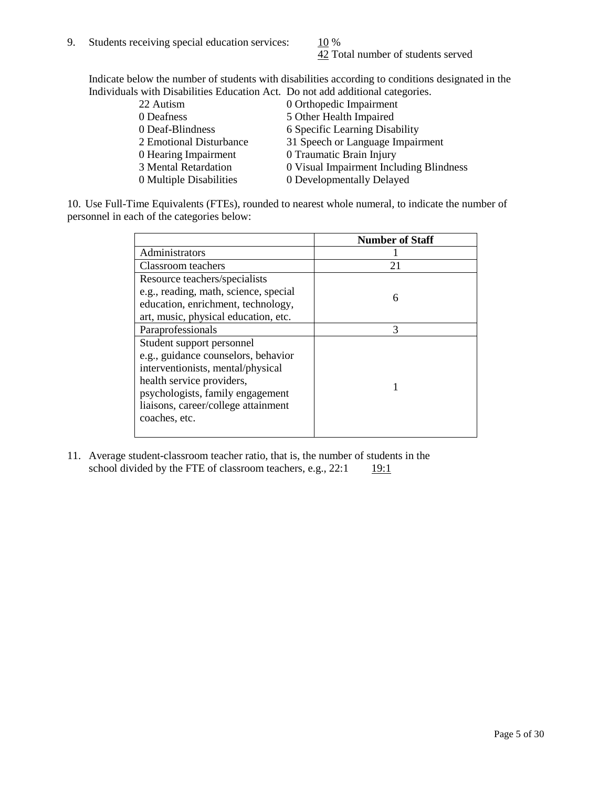42 Total number of students served

Indicate below the number of students with disabilities according to conditions designated in the Individuals with Disabilities Education Act. Do not add additional categories.

| 22 Autism               | 0 Orthopedic Impairment                 |
|-------------------------|-----------------------------------------|
| 0 Deafness              | 5 Other Health Impaired                 |
| 0 Deaf-Blindness        | 6 Specific Learning Disability          |
| 2 Emotional Disturbance | 31 Speech or Language Impairment        |
| 0 Hearing Impairment    | 0 Traumatic Brain Injury                |
| 3 Mental Retardation    | 0 Visual Impairment Including Blindness |
| 0 Multiple Disabilities | 0 Developmentally Delayed               |
|                         |                                         |

10. Use Full-Time Equivalents (FTEs), rounded to nearest whole numeral, to indicate the number of personnel in each of the categories below:

|                                       | <b>Number of Staff</b> |
|---------------------------------------|------------------------|
| Administrators                        |                        |
| Classroom teachers                    | 21                     |
| Resource teachers/specialists         |                        |
| e.g., reading, math, science, special | 6                      |
| education, enrichment, technology,    |                        |
| art, music, physical education, etc.  |                        |
| Paraprofessionals                     | 3                      |
| Student support personnel             |                        |
| e.g., guidance counselors, behavior   |                        |
| interventionists, mental/physical     |                        |
| health service providers,             |                        |
| psychologists, family engagement      |                        |
| liaisons, career/college attainment   |                        |
| coaches, etc.                         |                        |
|                                       |                        |

11. Average student-classroom teacher ratio, that is, the number of students in the school divided by the FTE of classroom teachers, e.g.,  $22:1$  19:1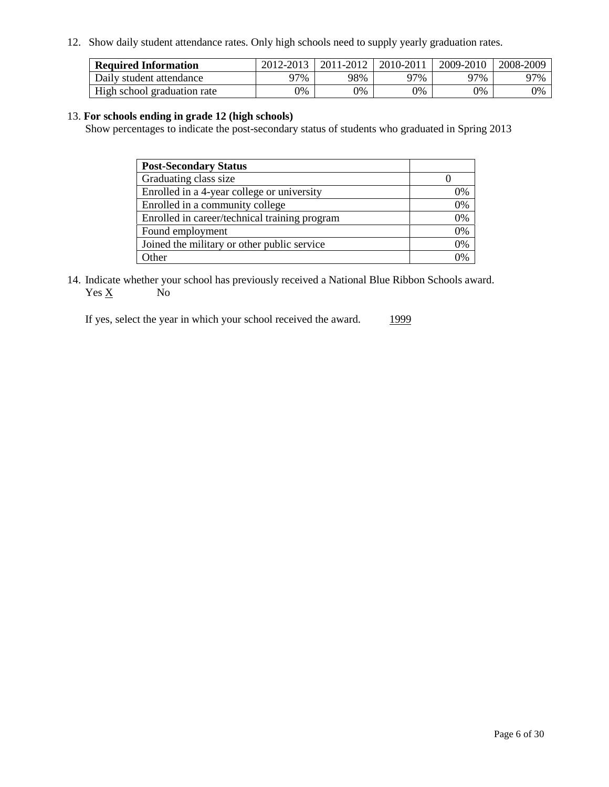12. Show daily student attendance rates. Only high schools need to supply yearly graduation rates.

| <b>Required Information</b> | 2012-2013 | 2011-2012 | 2010-2011 | 2009-2010 | 2008-2009 |
|-----------------------------|-----------|-----------|-----------|-----------|-----------|
| Daily student attendance    | 77%       | 98%       | 97%       | ว7%       | 97%       |
| High school graduation rate | 0%        | 9%        | 0%        | 0%        | 0%        |

#### 13. **For schools ending in grade 12 (high schools)**

Show percentages to indicate the post-secondary status of students who graduated in Spring 2013

| <b>Post-Secondary Status</b>                  |              |
|-----------------------------------------------|--------------|
| Graduating class size                         |              |
| Enrolled in a 4-year college or university    | 0%           |
| Enrolled in a community college               | 0%           |
| Enrolled in career/technical training program | 0%           |
| Found employment                              | 0%           |
| Joined the military or other public service   | 0%           |
| .)ther                                        | $\gamma_{0}$ |

14. Indicate whether your school has previously received a National Blue Ribbon Schools award.  $Yes \underline{X}$  No

If yes, select the year in which your school received the award. 1999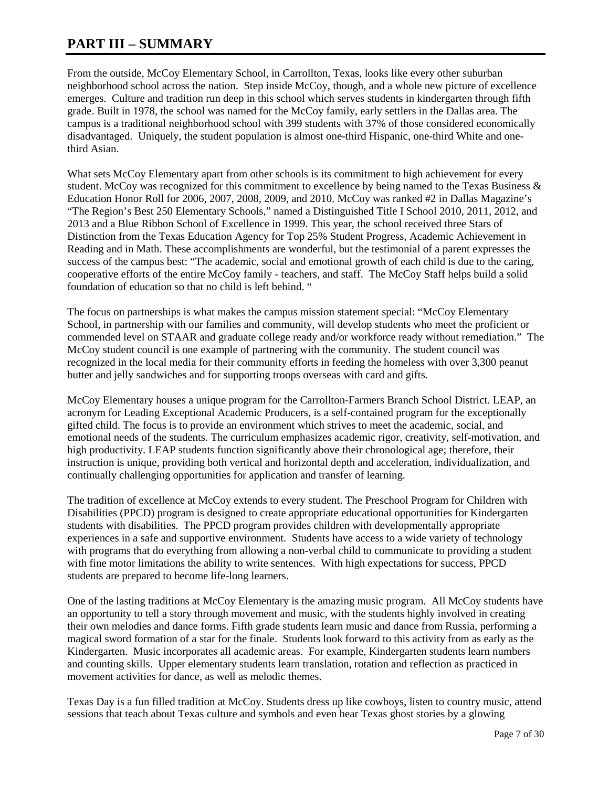### **PART III – SUMMARY**

From the outside, McCoy Elementary School, in Carrollton, Texas, looks like every other suburban neighborhood school across the nation. Step inside McCoy, though, and a whole new picture of excellence emerges. Culture and tradition run deep in this school which serves students in kindergarten through fifth grade. Built in 1978, the school was named for the McCoy family, early settlers in the Dallas area. The campus is a traditional neighborhood school with 399 students with 37% of those considered economically disadvantaged. Uniquely, the student population is almost one-third Hispanic, one-third White and onethird Asian.

What sets McCoy Elementary apart from other schools is its commitment to high achievement for every student. McCoy was recognized for this commitment to excellence by being named to the Texas Business  $\&$ Education Honor Roll for 2006, 2007, 2008, 2009, and 2010. McCoy was ranked #2 in Dallas Magazine's "The Region's Best 250 Elementary Schools," named a Distinguished Title I School 2010, 2011, 2012, and 2013 and a Blue Ribbon School of Excellence in 1999. This year, the school received three Stars of Distinction from the Texas Education Agency for Top 25% Student Progress, Academic Achievement in Reading and in Math. These accomplishments are wonderful, but the testimonial of a parent expresses the success of the campus best: "The academic, social and emotional growth of each child is due to the caring, cooperative efforts of the entire McCoy family - teachers, and staff. The McCoy Staff helps build a solid foundation of education so that no child is left behind. "

The focus on partnerships is what makes the campus mission statement special: "McCoy Elementary School, in partnership with our families and community, will develop students who meet the proficient or commended level on STAAR and graduate college ready and/or workforce ready without remediation." The McCoy student council is one example of partnering with the community. The student council was recognized in the local media for their community efforts in feeding the homeless with over 3,300 peanut butter and jelly sandwiches and for supporting troops overseas with card and gifts.

McCoy Elementary houses a unique program for the Carrollton-Farmers Branch School District. LEAP, an acronym for Leading Exceptional Academic Producers, is a self-contained program for the exceptionally gifted child. The focus is to provide an environment which strives to meet the academic, social, and emotional needs of the students. The curriculum emphasizes academic rigor, creativity, self-motivation, and high productivity. LEAP students function significantly above their chronological age; therefore, their instruction is unique, providing both vertical and horizontal depth and acceleration, individualization, and continually challenging opportunities for application and transfer of learning.

The tradition of excellence at McCoy extends to every student. The Preschool Program for Children with Disabilities (PPCD) program is designed to create appropriate educational opportunities for Kindergarten students with disabilities. The PPCD program provides children with developmentally appropriate experiences in a safe and supportive environment. Students have access to a wide variety of technology with programs that do everything from allowing a non-verbal child to communicate to providing a student with fine motor limitations the ability to write sentences. With high expectations for success, PPCD students are prepared to become life-long learners.

One of the lasting traditions at McCoy Elementary is the amazing music program. All McCoy students have an opportunity to tell a story through movement and music, with the students highly involved in creating their own melodies and dance forms. Fifth grade students learn music and dance from Russia, performing a magical sword formation of a star for the finale. Students look forward to this activity from as early as the Kindergarten. Music incorporates all academic areas. For example, Kindergarten students learn numbers and counting skills. Upper elementary students learn translation, rotation and reflection as practiced in movement activities for dance, as well as melodic themes.

Texas Day is a fun filled tradition at McCoy. Students dress up like cowboys, listen to country music, attend sessions that teach about Texas culture and symbols and even hear Texas ghost stories by a glowing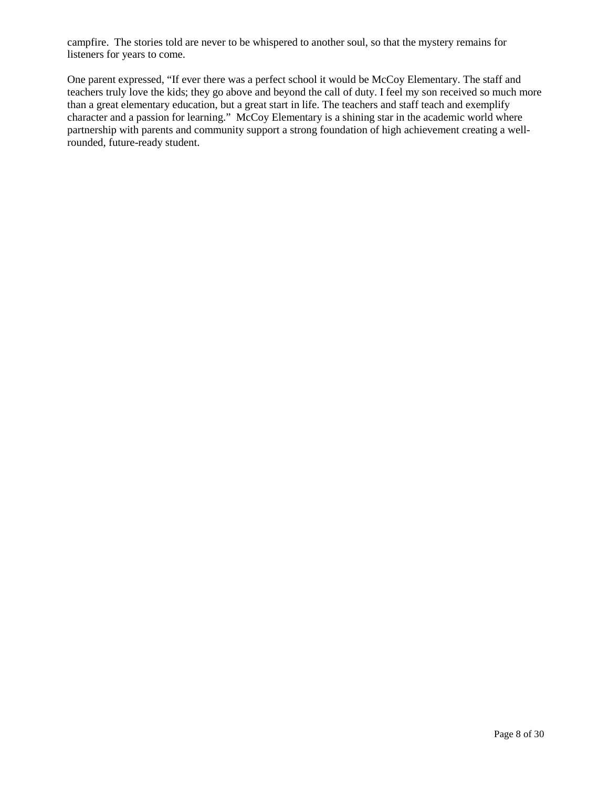campfire. The stories told are never to be whispered to another soul, so that the mystery remains for listeners for years to come.

One parent expressed, "If ever there was a perfect school it would be McCoy Elementary. The staff and teachers truly love the kids; they go above and beyond the call of duty. I feel my son received so much more than a great elementary education, but a great start in life. The teachers and staff teach and exemplify character and a passion for learning." McCoy Elementary is a shining star in the academic world where partnership with parents and community support a strong foundation of high achievement creating a wellrounded, future-ready student.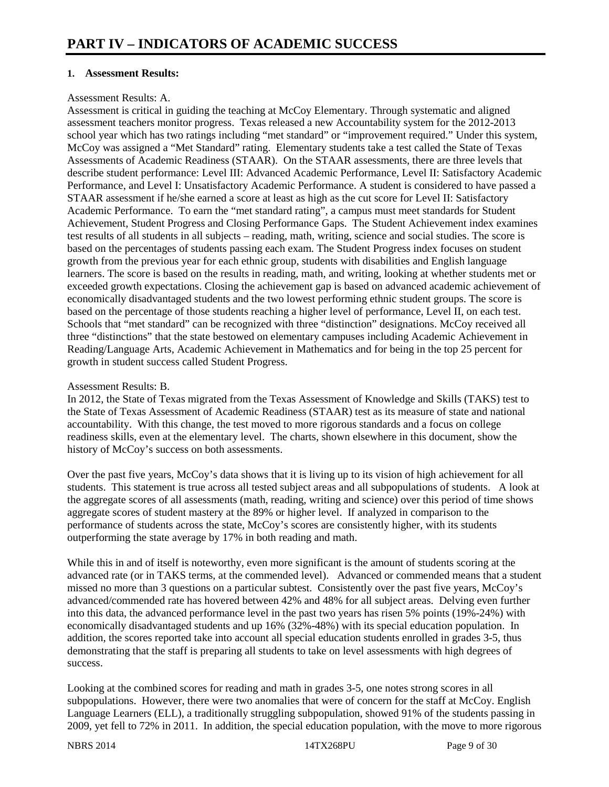#### **1. Assessment Results:**

#### Assessment Results: A.

Assessment is critical in guiding the teaching at McCoy Elementary. Through systematic and aligned assessment teachers monitor progress. Texas released a new Accountability system for the 2012-2013 school year which has two ratings including "met standard" or "improvement required." Under this system, McCoy was assigned a "Met Standard" rating. Elementary students take a test called the State of Texas Assessments of Academic Readiness (STAAR). On the STAAR assessments, there are three levels that describe student performance: Level III: Advanced Academic Performance, Level II: Satisfactory Academic Performance, and Level I: Unsatisfactory Academic Performance. A student is considered to have passed a STAAR assessment if he/she earned a score at least as high as the cut score for Level II: Satisfactory Academic Performance. To earn the "met standard rating", a campus must meet standards for Student Achievement, Student Progress and Closing Performance Gaps. The Student Achievement index examines test results of all students in all subjects – reading, math, writing, science and social studies. The score is based on the percentages of students passing each exam. The Student Progress index focuses on student growth from the previous year for each ethnic group, students with disabilities and English language learners. The score is based on the results in reading, math, and writing, looking at whether students met or exceeded growth expectations. Closing the achievement gap is based on advanced academic achievement of economically disadvantaged students and the two lowest performing ethnic student groups. The score is based on the percentage of those students reaching a higher level of performance, Level II, on each test. Schools that "met standard" can be recognized with three "distinction" designations. McCoy received all three "distinctions" that the state bestowed on elementary campuses including Academic Achievement in Reading/Language Arts, Academic Achievement in Mathematics and for being in the top 25 percent for growth in student success called Student Progress.

#### Assessment Results: B.

In 2012, the State of Texas migrated from the Texas Assessment of Knowledge and Skills (TAKS) test to the State of Texas Assessment of Academic Readiness (STAAR) test as its measure of state and national accountability. With this change, the test moved to more rigorous standards and a focus on college readiness skills, even at the elementary level. The charts, shown elsewhere in this document, show the history of McCoy's success on both assessments.

Over the past five years, McCoy's data shows that it is living up to its vision of high achievement for all students. This statement is true across all tested subject areas and all subpopulations of students. A look at the aggregate scores of all assessments (math, reading, writing and science) over this period of time shows aggregate scores of student mastery at the 89% or higher level. If analyzed in comparison to the performance of students across the state, McCoy's scores are consistently higher, with its students outperforming the state average by 17% in both reading and math.

While this in and of itself is noteworthy, even more significant is the amount of students scoring at the advanced rate (or in TAKS terms, at the commended level). Advanced or commended means that a student missed no more than 3 questions on a particular subtest. Consistently over the past five years, McCoy's advanced/commended rate has hovered between 42% and 48% for all subject areas. Delving even further into this data, the advanced performance level in the past two years has risen 5% points (19%-24%) with economically disadvantaged students and up 16% (32%-48%) with its special education population. In addition, the scores reported take into account all special education students enrolled in grades 3-5, thus demonstrating that the staff is preparing all students to take on level assessments with high degrees of success.

Looking at the combined scores for reading and math in grades 3-5, one notes strong scores in all subpopulations. However, there were two anomalies that were of concern for the staff at McCoy. English Language Learners (ELL), a traditionally struggling subpopulation, showed 91% of the students passing in 2009, yet fell to 72% in 2011. In addition, the special education population, with the move to more rigorous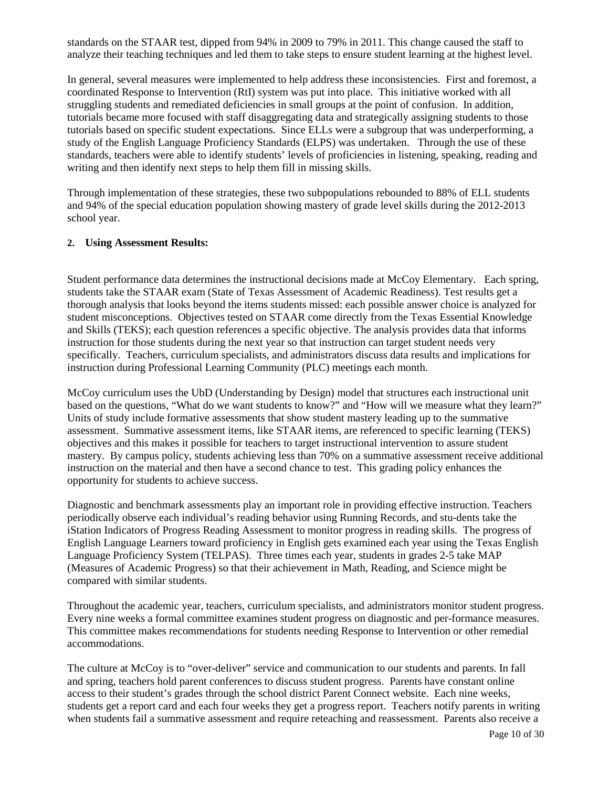standards on the STAAR test, dipped from 94% in 2009 to 79% in 2011. This change caused the staff to analyze their teaching techniques and led them to take steps to ensure student learning at the highest level.

In general, several measures were implemented to help address these inconsistencies. First and foremost, a coordinated Response to Intervention (RtI) system was put into place. This initiative worked with all struggling students and remediated deficiencies in small groups at the point of confusion. In addition, tutorials became more focused with staff disaggregating data and strategically assigning students to those tutorials based on specific student expectations. Since ELLs were a subgroup that was underperforming, a study of the English Language Proficiency Standards (ELPS) was undertaken. Through the use of these standards, teachers were able to identify students' levels of proficiencies in listening, speaking, reading and writing and then identify next steps to help them fill in missing skills.

Through implementation of these strategies, these two subpopulations rebounded to 88% of ELL students and 94% of the special education population showing mastery of grade level skills during the 2012-2013 school year.

#### **2. Using Assessment Results:**

Student performance data determines the instructional decisions made at McCoy Elementary. Each spring, students take the STAAR exam (State of Texas Assessment of Academic Readiness). Test results get a thorough analysis that looks beyond the items students missed: each possible answer choice is analyzed for student misconceptions. Objectives tested on STAAR come directly from the Texas Essential Knowledge and Skills (TEKS); each question references a specific objective. The analysis provides data that informs instruction for those students during the next year so that instruction can target student needs very specifically. Teachers, curriculum specialists, and administrators discuss data results and implications for instruction during Professional Learning Community (PLC) meetings each month.

McCoy curriculum uses the UbD (Understanding by Design) model that structures each instructional unit based on the questions, "What do we want students to know?" and "How will we measure what they learn?" Units of study include formative assessments that show student mastery leading up to the summative assessment. Summative assessment items, like STAAR items, are referenced to specific learning (TEKS) objectives and this makes it possible for teachers to target instructional intervention to assure student mastery. By campus policy, students achieving less than 70% on a summative assessment receive additional instruction on the material and then have a second chance to test. This grading policy enhances the opportunity for students to achieve success.

Diagnostic and benchmark assessments play an important role in providing effective instruction. Teachers periodically observe each individual's reading behavior using Running Records, and stu-dents take the iStation Indicators of Progress Reading Assessment to monitor progress in reading skills. The progress of English Language Learners toward proficiency in English gets examined each year using the Texas English Language Proficiency System (TELPAS). Three times each year, students in grades 2-5 take MAP (Measures of Academic Progress) so that their achievement in Math, Reading, and Science might be compared with similar students.

Throughout the academic year, teachers, curriculum specialists, and administrators monitor student progress. Every nine weeks a formal committee examines student progress on diagnostic and per-formance measures. This committee makes recommendations for students needing Response to Intervention or other remedial accommodations.

The culture at McCoy is to "over-deliver" service and communication to our students and parents. In fall and spring, teachers hold parent conferences to discuss student progress. Parents have constant online access to their student's grades through the school district Parent Connect website. Each nine weeks, students get a report card and each four weeks they get a progress report. Teachers notify parents in writing when students fail a summative assessment and require reteaching and reassessment. Parents also receive a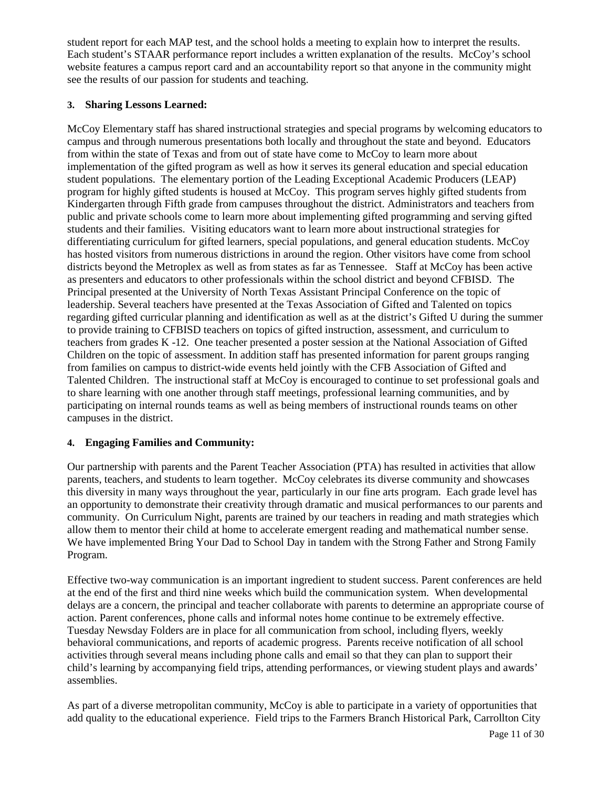student report for each MAP test, and the school holds a meeting to explain how to interpret the results. Each student's STAAR performance report includes a written explanation of the results. McCoy's school website features a campus report card and an accountability report so that anyone in the community might see the results of our passion for students and teaching.

#### **3. Sharing Lessons Learned:**

McCoy Elementary staff has shared instructional strategies and special programs by welcoming educators to campus and through numerous presentations both locally and throughout the state and beyond. Educators from within the state of Texas and from out of state have come to McCoy to learn more about implementation of the gifted program as well as how it serves its general education and special education student populations. The elementary portion of the Leading Exceptional Academic Producers (LEAP) program for highly gifted students is housed at McCoy. This program serves highly gifted students from Kindergarten through Fifth grade from campuses throughout the district. Administrators and teachers from public and private schools come to learn more about implementing gifted programming and serving gifted students and their families. Visiting educators want to learn more about instructional strategies for differentiating curriculum for gifted learners, special populations, and general education students. McCoy has hosted visitors from numerous districtions in around the region. Other visitors have come from school districts beyond the Metroplex as well as from states as far as Tennessee. Staff at McCoy has been active as presenters and educators to other professionals within the school district and beyond CFBISD. The Principal presented at the University of North Texas Assistant Principal Conference on the topic of leadership. Several teachers have presented at the Texas Association of Gifted and Talented on topics regarding gifted curricular planning and identification as well as at the district's Gifted U during the summer to provide training to CFBISD teachers on topics of gifted instruction, assessment, and curriculum to teachers from grades K -12. One teacher presented a poster session at the National Association of Gifted Children on the topic of assessment. In addition staff has presented information for parent groups ranging from families on campus to district-wide events held jointly with the CFB Association of Gifted and Talented Children. The instructional staff at McCoy is encouraged to continue to set professional goals and to share learning with one another through staff meetings, professional learning communities, and by participating on internal rounds teams as well as being members of instructional rounds teams on other campuses in the district.

#### **4. Engaging Families and Community:**

Our partnership with parents and the Parent Teacher Association (PTA) has resulted in activities that allow parents, teachers, and students to learn together. McCoy celebrates its diverse community and showcases this diversity in many ways throughout the year, particularly in our fine arts program. Each grade level has an opportunity to demonstrate their creativity through dramatic and musical performances to our parents and community. On Curriculum Night, parents are trained by our teachers in reading and math strategies which allow them to mentor their child at home to accelerate emergent reading and mathematical number sense. We have implemented Bring Your Dad to School Day in tandem with the Strong Father and Strong Family Program.

Effective two-way communication is an important ingredient to student success. Parent conferences are held at the end of the first and third nine weeks which build the communication system. When developmental delays are a concern, the principal and teacher collaborate with parents to determine an appropriate course of action. Parent conferences, phone calls and informal notes home continue to be extremely effective. Tuesday Newsday Folders are in place for all communication from school, including flyers, weekly behavioral communications, and reports of academic progress. Parents receive notification of all school activities through several means including phone calls and email so that they can plan to support their child's learning by accompanying field trips, attending performances, or viewing student plays and awards' assemblies.

As part of a diverse metropolitan community, McCoy is able to participate in a variety of opportunities that add quality to the educational experience. Field trips to the Farmers Branch Historical Park, Carrollton City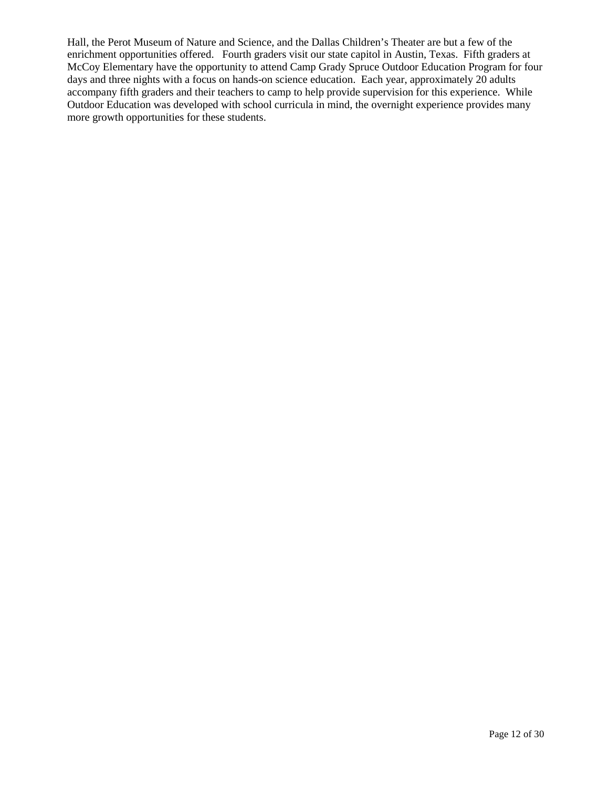Hall, the Perot Museum of Nature and Science, and the Dallas Children's Theater are but a few of the enrichment opportunities offered. Fourth graders visit our state capitol in Austin, Texas. Fifth graders at McCoy Elementary have the opportunity to attend Camp Grady Spruce Outdoor Education Program for four days and three nights with a focus on hands-on science education. Each year, approximately 20 adults accompany fifth graders and their teachers to camp to help provide supervision for this experience. While Outdoor Education was developed with school curricula in mind, the overnight experience provides many more growth opportunities for these students.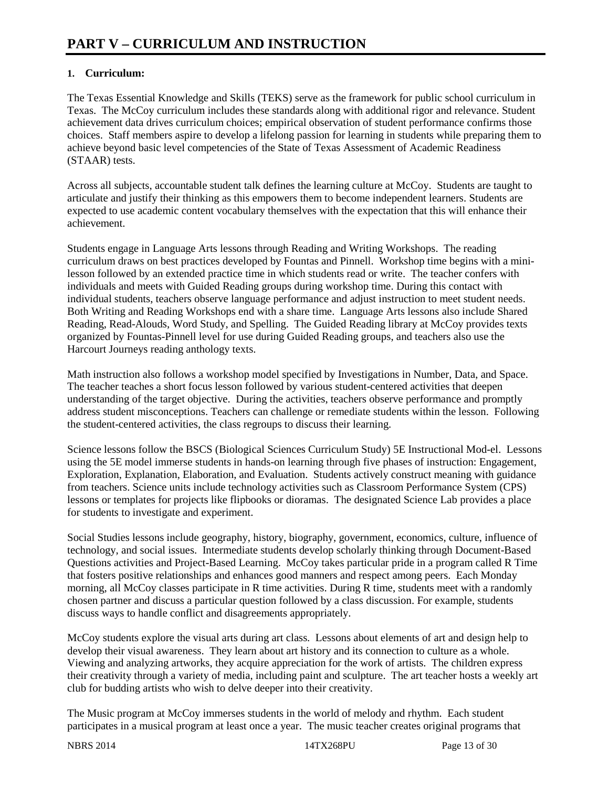#### **1. Curriculum:**

The Texas Essential Knowledge and Skills (TEKS) serve as the framework for public school curriculum in Texas. The McCoy curriculum includes these standards along with additional rigor and relevance. Student achievement data drives curriculum choices; empirical observation of student performance confirms those choices. Staff members aspire to develop a lifelong passion for learning in students while preparing them to achieve beyond basic level competencies of the State of Texas Assessment of Academic Readiness (STAAR) tests.

Across all subjects, accountable student talk defines the learning culture at McCoy. Students are taught to articulate and justify their thinking as this empowers them to become independent learners. Students are expected to use academic content vocabulary themselves with the expectation that this will enhance their achievement.

Students engage in Language Arts lessons through Reading and Writing Workshops. The reading curriculum draws on best practices developed by Fountas and Pinnell. Workshop time begins with a minilesson followed by an extended practice time in which students read or write. The teacher confers with individuals and meets with Guided Reading groups during workshop time. During this contact with individual students, teachers observe language performance and adjust instruction to meet student needs. Both Writing and Reading Workshops end with a share time. Language Arts lessons also include Shared Reading, Read-Alouds, Word Study, and Spelling. The Guided Reading library at McCoy provides texts organized by Fountas-Pinnell level for use during Guided Reading groups, and teachers also use the Harcourt Journeys reading anthology texts.

Math instruction also follows a workshop model specified by Investigations in Number, Data, and Space. The teacher teaches a short focus lesson followed by various student-centered activities that deepen understanding of the target objective. During the activities, teachers observe performance and promptly address student misconceptions. Teachers can challenge or remediate students within the lesson. Following the student-centered activities, the class regroups to discuss their learning.

Science lessons follow the BSCS (Biological Sciences Curriculum Study) 5E Instructional Mod-el. Lessons using the 5E model immerse students in hands-on learning through five phases of instruction: Engagement, Exploration, Explanation, Elaboration, and Evaluation. Students actively construct meaning with guidance from teachers. Science units include technology activities such as Classroom Performance System (CPS) lessons or templates for projects like flipbooks or dioramas. The designated Science Lab provides a place for students to investigate and experiment.

Social Studies lessons include geography, history, biography, government, economics, culture, influence of technology, and social issues. Intermediate students develop scholarly thinking through Document-Based Questions activities and Project-Based Learning. McCoy takes particular pride in a program called R Time that fosters positive relationships and enhances good manners and respect among peers. Each Monday morning, all McCoy classes participate in R time activities. During R time, students meet with a randomly chosen partner and discuss a particular question followed by a class discussion. For example, students discuss ways to handle conflict and disagreements appropriately.

McCoy students explore the visual arts during art class. Lessons about elements of art and design help to develop their visual awareness. They learn about art history and its connection to culture as a whole. Viewing and analyzing artworks, they acquire appreciation for the work of artists. The children express their creativity through a variety of media, including paint and sculpture. The art teacher hosts a weekly art club for budding artists who wish to delve deeper into their creativity.

The Music program at McCoy immerses students in the world of melody and rhythm. Each student participates in a musical program at least once a year. The music teacher creates original programs that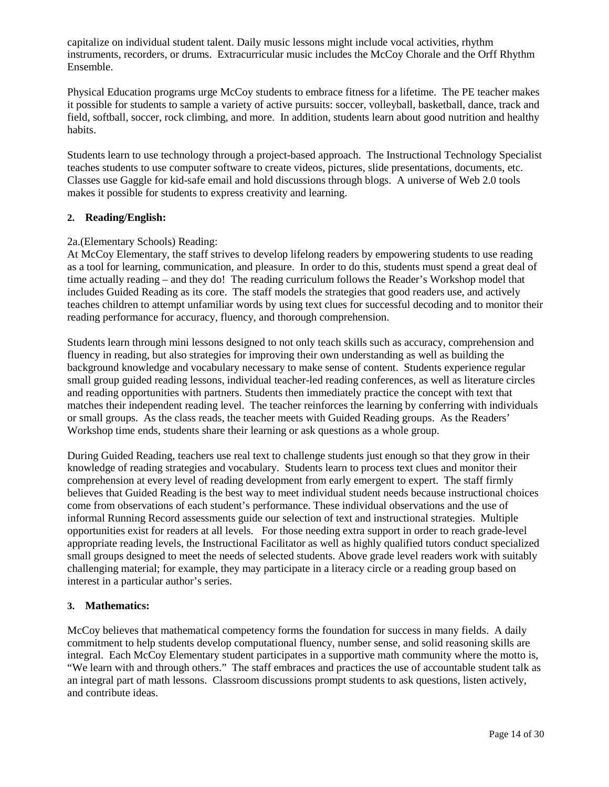capitalize on individual student talent. Daily music lessons might include vocal activities, rhythm instruments, recorders, or drums. Extracurricular music includes the McCoy Chorale and the Orff Rhythm Ensemble.

Physical Education programs urge McCoy students to embrace fitness for a lifetime. The PE teacher makes it possible for students to sample a variety of active pursuits: soccer, volleyball, basketball, dance, track and field, softball, soccer, rock climbing, and more. In addition, students learn about good nutrition and healthy habits.

Students learn to use technology through a project-based approach. The Instructional Technology Specialist teaches students to use computer software to create videos, pictures, slide presentations, documents, etc. Classes use Gaggle for kid-safe email and hold discussions through blogs. A universe of Web 2.0 tools makes it possible for students to express creativity and learning.

#### **2. Reading/English:**

#### 2a.(Elementary Schools) Reading:

At McCoy Elementary, the staff strives to develop lifelong readers by empowering students to use reading as a tool for learning, communication, and pleasure. In order to do this, students must spend a great deal of time actually reading – and they do! The reading curriculum follows the Reader's Workshop model that includes Guided Reading as its core. The staff models the strategies that good readers use, and actively teaches children to attempt unfamiliar words by using text clues for successful decoding and to monitor their reading performance for accuracy, fluency, and thorough comprehension.

Students learn through mini lessons designed to not only teach skills such as accuracy, comprehension and fluency in reading, but also strategies for improving their own understanding as well as building the background knowledge and vocabulary necessary to make sense of content. Students experience regular small group guided reading lessons, individual teacher-led reading conferences, as well as literature circles and reading opportunities with partners. Students then immediately practice the concept with text that matches their independent reading level. The teacher reinforces the learning by conferring with individuals or small groups. As the class reads, the teacher meets with Guided Reading groups. As the Readers' Workshop time ends, students share their learning or ask questions as a whole group.

During Guided Reading, teachers use real text to challenge students just enough so that they grow in their knowledge of reading strategies and vocabulary. Students learn to process text clues and monitor their comprehension at every level of reading development from early emergent to expert. The staff firmly believes that Guided Reading is the best way to meet individual student needs because instructional choices come from observations of each student's performance. These individual observations and the use of informal Running Record assessments guide our selection of text and instructional strategies. Multiple opportunities exist for readers at all levels. For those needing extra support in order to reach grade-level appropriate reading levels, the Instructional Facilitator as well as highly qualified tutors conduct specialized small groups designed to meet the needs of selected students. Above grade level readers work with suitably challenging material; for example, they may participate in a literacy circle or a reading group based on interest in a particular author's series.

#### **3. Mathematics:**

McCoy believes that mathematical competency forms the foundation for success in many fields. A daily commitment to help students develop computational fluency, number sense, and solid reasoning skills are integral. Each McCoy Elementary student participates in a supportive math community where the motto is, "We learn with and through others." The staff embraces and practices the use of accountable student talk as an integral part of math lessons. Classroom discussions prompt students to ask questions, listen actively, and contribute ideas.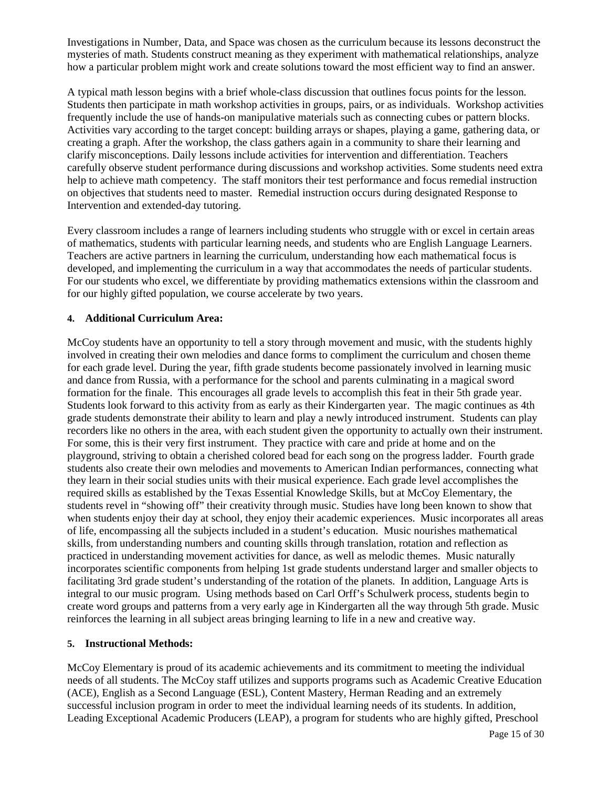Investigations in Number, Data, and Space was chosen as the curriculum because its lessons deconstruct the mysteries of math. Students construct meaning as they experiment with mathematical relationships, analyze how a particular problem might work and create solutions toward the most efficient way to find an answer.

A typical math lesson begins with a brief whole-class discussion that outlines focus points for the lesson. Students then participate in math workshop activities in groups, pairs, or as individuals. Workshop activities frequently include the use of hands-on manipulative materials such as connecting cubes or pattern blocks. Activities vary according to the target concept: building arrays or shapes, playing a game, gathering data, or creating a graph. After the workshop, the class gathers again in a community to share their learning and clarify misconceptions. Daily lessons include activities for intervention and differentiation. Teachers carefully observe student performance during discussions and workshop activities. Some students need extra help to achieve math competency. The staff monitors their test performance and focus remedial instruction on objectives that students need to master. Remedial instruction occurs during designated Response to Intervention and extended-day tutoring.

Every classroom includes a range of learners including students who struggle with or excel in certain areas of mathematics, students with particular learning needs, and students who are English Language Learners. Teachers are active partners in learning the curriculum, understanding how each mathematical focus is developed, and implementing the curriculum in a way that accommodates the needs of particular students. For our students who excel, we differentiate by providing mathematics extensions within the classroom and for our highly gifted population, we course accelerate by two years.

#### **4. Additional Curriculum Area:**

McCoy students have an opportunity to tell a story through movement and music, with the students highly involved in creating their own melodies and dance forms to compliment the curriculum and chosen theme for each grade level. During the year, fifth grade students become passionately involved in learning music and dance from Russia, with a performance for the school and parents culminating in a magical sword formation for the finale. This encourages all grade levels to accomplish this feat in their 5th grade year. Students look forward to this activity from as early as their Kindergarten year. The magic continues as 4th grade students demonstrate their ability to learn and play a newly introduced instrument. Students can play recorders like no others in the area, with each student given the opportunity to actually own their instrument. For some, this is their very first instrument. They practice with care and pride at home and on the playground, striving to obtain a cherished colored bead for each song on the progress ladder. Fourth grade students also create their own melodies and movements to American Indian performances, connecting what they learn in their social studies units with their musical experience. Each grade level accomplishes the required skills as established by the Texas Essential Knowledge Skills, but at McCoy Elementary, the students revel in "showing off" their creativity through music. Studies have long been known to show that when students enjoy their day at school, they enjoy their academic experiences. Music incorporates all areas of life, encompassing all the subjects included in a student's education. Music nourishes mathematical skills, from understanding numbers and counting skills through translation, rotation and reflection as practiced in understanding movement activities for dance, as well as melodic themes. Music naturally incorporates scientific components from helping 1st grade students understand larger and smaller objects to facilitating 3rd grade student's understanding of the rotation of the planets. In addition, Language Arts is integral to our music program. Using methods based on Carl Orff's Schulwerk process, students begin to create word groups and patterns from a very early age in Kindergarten all the way through 5th grade. Music reinforces the learning in all subject areas bringing learning to life in a new and creative way.

#### **5. Instructional Methods:**

McCoy Elementary is proud of its academic achievements and its commitment to meeting the individual needs of all students. The McCoy staff utilizes and supports programs such as Academic Creative Education (ACE), English as a Second Language (ESL), Content Mastery, Herman Reading and an extremely successful inclusion program in order to meet the individual learning needs of its students. In addition, Leading Exceptional Academic Producers (LEAP), a program for students who are highly gifted, Preschool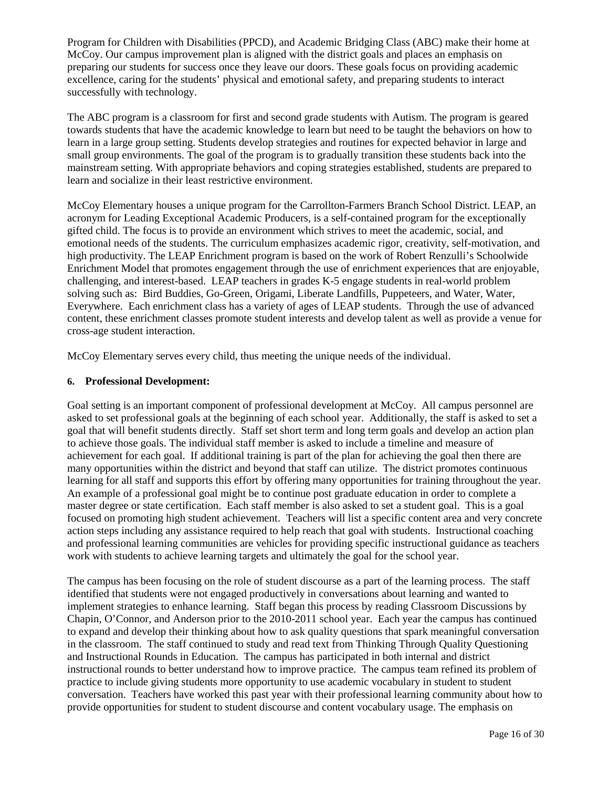Program for Children with Disabilities (PPCD), and Academic Bridging Class (ABC) make their home at McCoy. Our campus improvement plan is aligned with the district goals and places an emphasis on preparing our students for success once they leave our doors. These goals focus on providing academic excellence, caring for the students' physical and emotional safety, and preparing students to interact successfully with technology.

The ABC program is a classroom for first and second grade students with Autism. The program is geared towards students that have the academic knowledge to learn but need to be taught the behaviors on how to learn in a large group setting. Students develop strategies and routines for expected behavior in large and small group environments. The goal of the program is to gradually transition these students back into the mainstream setting. With appropriate behaviors and coping strategies established, students are prepared to learn and socialize in their least restrictive environment.

McCoy Elementary houses a unique program for the Carrollton-Farmers Branch School District. LEAP, an acronym for Leading Exceptional Academic Producers, is a self-contained program for the exceptionally gifted child. The focus is to provide an environment which strives to meet the academic, social, and emotional needs of the students. The curriculum emphasizes academic rigor, creativity, self-motivation, and high productivity. The LEAP Enrichment program is based on the work of Robert Renzulli's Schoolwide Enrichment Model that promotes engagement through the use of enrichment experiences that are enjoyable, challenging, and interest-based. LEAP teachers in grades K-5 engage students in real-world problem solving such as: Bird Buddies, Go-Green, Origami, Liberate Landfills, Puppeteers, and Water, Water, Everywhere. Each enrichment class has a variety of ages of LEAP students. Through the use of advanced content, these enrichment classes promote student interests and develop talent as well as provide a venue for cross-age student interaction.

McCoy Elementary serves every child, thus meeting the unique needs of the individual.

#### **6. Professional Development:**

Goal setting is an important component of professional development at McCoy. All campus personnel are asked to set professional goals at the beginning of each school year. Additionally, the staff is asked to set a goal that will benefit students directly. Staff set short term and long term goals and develop an action plan to achieve those goals. The individual staff member is asked to include a timeline and measure of achievement for each goal. If additional training is part of the plan for achieving the goal then there are many opportunities within the district and beyond that staff can utilize. The district promotes continuous learning for all staff and supports this effort by offering many opportunities for training throughout the year. An example of a professional goal might be to continue post graduate education in order to complete a master degree or state certification. Each staff member is also asked to set a student goal. This is a goal focused on promoting high student achievement. Teachers will list a specific content area and very concrete action steps including any assistance required to help reach that goal with students. Instructional coaching and professional learning communities are vehicles for providing specific instructional guidance as teachers work with students to achieve learning targets and ultimately the goal for the school year.

The campus has been focusing on the role of student discourse as a part of the learning process. The staff identified that students were not engaged productively in conversations about learning and wanted to implement strategies to enhance learning. Staff began this process by reading Classroom Discussions by Chapin, O'Connor, and Anderson prior to the 2010-2011 school year. Each year the campus has continued to expand and develop their thinking about how to ask quality questions that spark meaningful conversation in the classroom. The staff continued to study and read text from Thinking Through Quality Questioning and Instructional Rounds in Education. The campus has participated in both internal and district instructional rounds to better understand how to improve practice. The campus team refined its problem of practice to include giving students more opportunity to use academic vocabulary in student to student conversation. Teachers have worked this past year with their professional learning community about how to provide opportunities for student to student discourse and content vocabulary usage. The emphasis on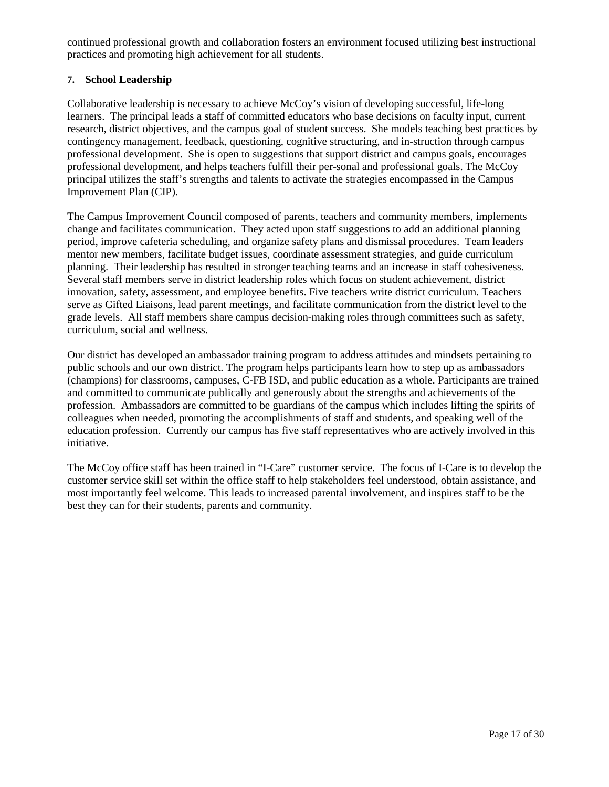continued professional growth and collaboration fosters an environment focused utilizing best instructional practices and promoting high achievement for all students.

#### **7. School Leadership**

Collaborative leadership is necessary to achieve McCoy's vision of developing successful, life-long learners. The principal leads a staff of committed educators who base decisions on faculty input, current research, district objectives, and the campus goal of student success. She models teaching best practices by contingency management, feedback, questioning, cognitive structuring, and in-struction through campus professional development. She is open to suggestions that support district and campus goals, encourages professional development, and helps teachers fulfill their per-sonal and professional goals. The McCoy principal utilizes the staff's strengths and talents to activate the strategies encompassed in the Campus Improvement Plan (CIP).

The Campus Improvement Council composed of parents, teachers and community members, implements change and facilitates communication. They acted upon staff suggestions to add an additional planning period, improve cafeteria scheduling, and organize safety plans and dismissal procedures. Team leaders mentor new members, facilitate budget issues, coordinate assessment strategies, and guide curriculum planning. Their leadership has resulted in stronger teaching teams and an increase in staff cohesiveness. Several staff members serve in district leadership roles which focus on student achievement, district innovation, safety, assessment, and employee benefits. Five teachers write district curriculum. Teachers serve as Gifted Liaisons, lead parent meetings, and facilitate communication from the district level to the grade levels. All staff members share campus decision-making roles through committees such as safety, curriculum, social and wellness.

Our district has developed an ambassador training program to address attitudes and mindsets pertaining to public schools and our own district. The program helps participants learn how to step up as ambassadors (champions) for classrooms, campuses, C-FB ISD, and public education as a whole. Participants are trained and committed to communicate publically and generously about the strengths and achievements of the profession. Ambassadors are committed to be guardians of the campus which includes lifting the spirits of colleagues when needed, promoting the accomplishments of staff and students, and speaking well of the education profession. Currently our campus has five staff representatives who are actively involved in this initiative.

The McCoy office staff has been trained in "I-Care" customer service. The focus of I-Care is to develop the customer service skill set within the office staff to help stakeholders feel understood, obtain assistance, and most importantly feel welcome. This leads to increased parental involvement, and inspires staff to be the best they can for their students, parents and community.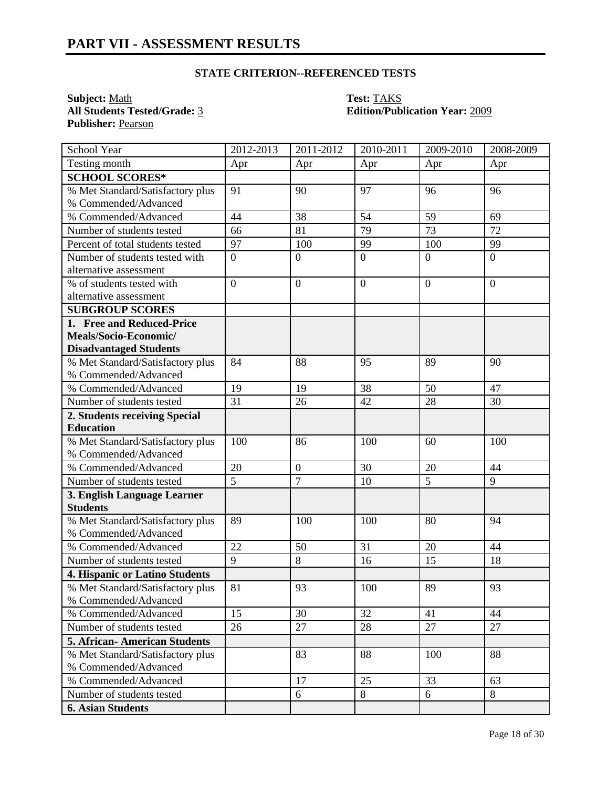**Subject:** <u>Math</u><br> **All Students Tested/Grade:** <u>3</u> **Test: TAKS**<br> **Edition/Publication** Publisher: Pearson

# **All Students Tested/Grade:** 3 **Edition/Publication Year:** 2009

| School Year                                              | 2012-2013        | 2011-2012                      | 2010-2011        | 2009-2010        | 2008-2009       |
|----------------------------------------------------------|------------------|--------------------------------|------------------|------------------|-----------------|
| Testing month                                            | Apr              | Apr                            | Apr              | Apr              | Apr             |
| <b>SCHOOL SCORES*</b>                                    |                  |                                |                  |                  |                 |
| % Met Standard/Satisfactory plus                         | 91               | 90                             | 97               | 96               | 96              |
| % Commended/Advanced                                     |                  |                                |                  |                  |                 |
| % Commended/Advanced                                     | 44               | 38                             | 54               | 59               | 69              |
| Number of students tested                                | 66               | 81                             | 79               | 73               | 72              |
| Percent of total students tested                         | 97               | 100                            | 99               | 100              | 99              |
| Number of students tested with                           | $\overline{0}$   | $\overline{0}$                 | $\overline{0}$   | $\overline{0}$   | $\overline{0}$  |
| alternative assessment                                   |                  |                                |                  |                  |                 |
| % of students tested with                                | $\boldsymbol{0}$ | $\mathbf{0}$                   | $\boldsymbol{0}$ | $\boldsymbol{0}$ | $\mathbf{0}$    |
| alternative assessment                                   |                  |                                |                  |                  |                 |
| <b>SUBGROUP SCORES</b>                                   |                  |                                |                  |                  |                 |
| 1. Free and Reduced-Price                                |                  |                                |                  |                  |                 |
| Meals/Socio-Economic/                                    |                  |                                |                  |                  |                 |
| <b>Disadvantaged Students</b>                            |                  |                                |                  |                  |                 |
| % Met Standard/Satisfactory plus                         | 84               | 88                             | 95               | 89               | 90              |
| % Commended/Advanced                                     |                  |                                |                  |                  |                 |
| % Commended/Advanced                                     | 19               | 19                             | 38               | 50               | 47              |
| Number of students tested                                | 31               | 26                             | 42               | 28               | 30              |
| 2. Students receiving Special                            |                  |                                |                  |                  |                 |
| <b>Education</b>                                         |                  |                                |                  |                  |                 |
| % Met Standard/Satisfactory plus                         | 100              | 86                             | 100              | 60               | 100             |
| % Commended/Advanced                                     |                  |                                |                  |                  |                 |
| % Commended/Advanced                                     | 20               | $\mathbf{0}$<br>$\overline{7}$ | 30               | 20               | 44              |
| Number of students tested                                | 5                |                                | 10               | 5                | 9               |
| 3. English Language Learner<br><b>Students</b>           |                  |                                |                  |                  |                 |
|                                                          | 89               | 100                            | 100              | 80               | 94              |
| % Met Standard/Satisfactory plus<br>% Commended/Advanced |                  |                                |                  |                  |                 |
| % Commended/Advanced                                     | 22               | 50                             | 31               | 20               | 44              |
| Number of students tested                                | 9                | 8                              | 16               | 15               | 18              |
| 4. Hispanic or Latino Students                           |                  |                                |                  |                  |                 |
| % Met Standard/Satisfactory plus                         | $\overline{81}$  | $\overline{93}$                | 100              | 89               | $\overline{93}$ |
| % Commended/Advanced                                     |                  |                                |                  |                  |                 |
| % Commended/Advanced                                     | 15               | 30                             | 32               | 41               | 44              |
| Number of students tested                                | 26               | 27                             | 28               | 27               | 27              |
| 5. African-American Students                             |                  |                                |                  |                  |                 |
| % Met Standard/Satisfactory plus                         |                  | 83                             | 88               | 100              | 88              |
| % Commended/Advanced                                     |                  |                                |                  |                  |                 |
| % Commended/Advanced                                     |                  | 17                             | 25               | 33               | 63              |
| Number of students tested                                |                  | 6                              | 8                | 6                | 8               |
| <b>6. Asian Students</b>                                 |                  |                                |                  |                  |                 |
|                                                          |                  |                                |                  |                  |                 |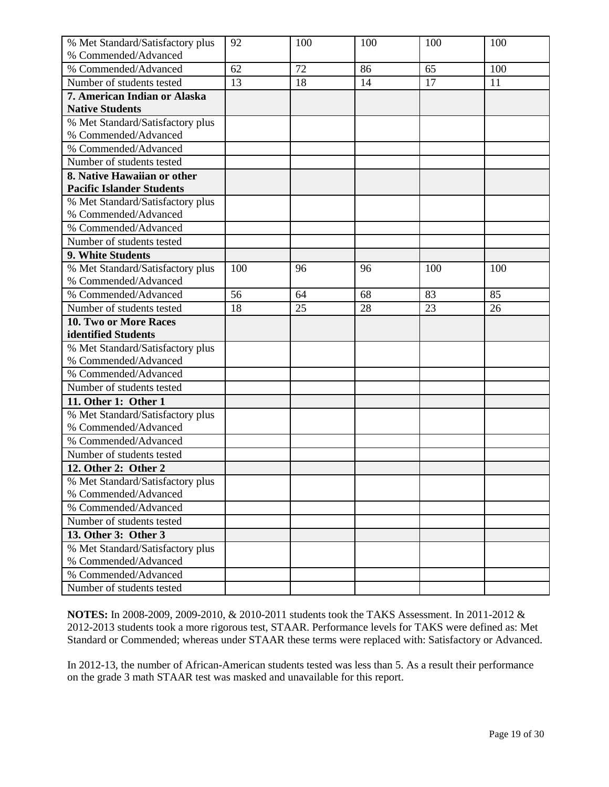| % Met Standard/Satisfactory plus | 92  | 100 | 100 | 100 | 100 |
|----------------------------------|-----|-----|-----|-----|-----|
| % Commended/Advanced             |     |     |     |     |     |
| % Commended/Advanced             | 62  | 72  | 86  | 65  | 100 |
| Number of students tested        | 13  | 18  | 14  | 17  | 11  |
| 7. American Indian or Alaska     |     |     |     |     |     |
| <b>Native Students</b>           |     |     |     |     |     |
| % Met Standard/Satisfactory plus |     |     |     |     |     |
| % Commended/Advanced             |     |     |     |     |     |
| % Commended/Advanced             |     |     |     |     |     |
| Number of students tested        |     |     |     |     |     |
| 8. Native Hawaiian or other      |     |     |     |     |     |
| <b>Pacific Islander Students</b> |     |     |     |     |     |
| % Met Standard/Satisfactory plus |     |     |     |     |     |
| % Commended/Advanced             |     |     |     |     |     |
| % Commended/Advanced             |     |     |     |     |     |
| Number of students tested        |     |     |     |     |     |
| 9. White Students                |     |     |     |     |     |
| % Met Standard/Satisfactory plus | 100 | 96  | 96  | 100 | 100 |
| % Commended/Advanced             |     |     |     |     |     |
| % Commended/Advanced             | 56  | 64  | 68  | 83  | 85  |
| Number of students tested        | 18  | 25  | 28  | 23  | 26  |
| 10. Two or More Races            |     |     |     |     |     |
| identified Students              |     |     |     |     |     |
| % Met Standard/Satisfactory plus |     |     |     |     |     |
| % Commended/Advanced             |     |     |     |     |     |
| % Commended/Advanced             |     |     |     |     |     |
| Number of students tested        |     |     |     |     |     |
| 11. Other 1: Other 1             |     |     |     |     |     |
| % Met Standard/Satisfactory plus |     |     |     |     |     |
| % Commended/Advanced             |     |     |     |     |     |
| % Commended/Advanced             |     |     |     |     |     |
| Number of students tested        |     |     |     |     |     |
| 12. Other 2: Other 2             |     |     |     |     |     |
| % Met Standard/Satisfactory plus |     |     |     |     |     |
| % Commended/Advanced             |     |     |     |     |     |
| % Commended/Advanced             |     |     |     |     |     |
| Number of students tested        |     |     |     |     |     |
| 13. Other 3: Other 3             |     |     |     |     |     |
| % Met Standard/Satisfactory plus |     |     |     |     |     |
| % Commended/Advanced             |     |     |     |     |     |
| % Commended/Advanced             |     |     |     |     |     |
| Number of students tested        |     |     |     |     |     |

In 2012-13, the number of African-American students tested was less than 5. As a result their performance on the grade 3 math STAAR test was masked and unavailable for this report.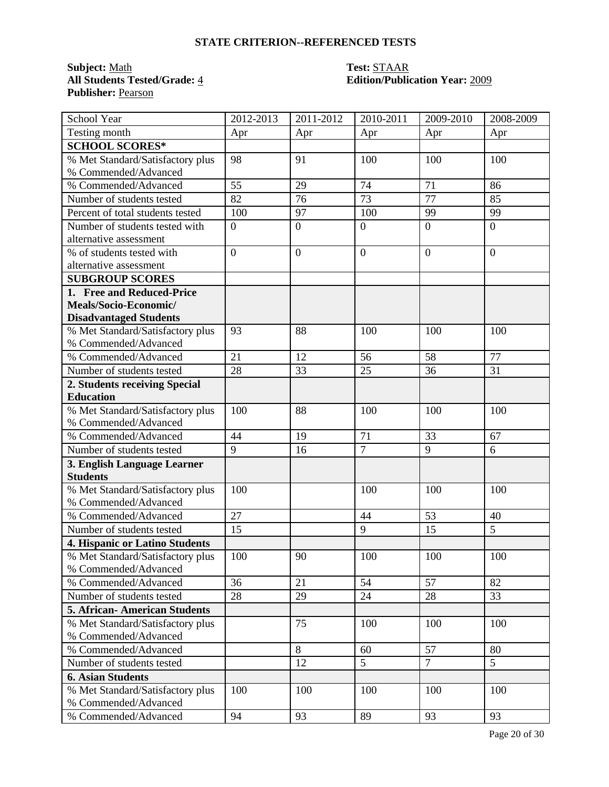### **Subject:** <u>Math</u><br> **All Students Tested/Grade:** 4 **Test: STAAR**<br> **Edition/Public Publisher:** Pearson

# **All Students Tested/Grade:** 4 **Edition/Publication Year:** 2009

| School Year                                              | 2012-2013        | 2011-2012        | 2010-2011      | 2009-2010            | 2008-2009      |
|----------------------------------------------------------|------------------|------------------|----------------|----------------------|----------------|
| Testing month                                            | Apr              | Apr              | Apr            | Apr                  | Apr            |
| <b>SCHOOL SCORES*</b>                                    |                  |                  |                |                      |                |
| % Met Standard/Satisfactory plus                         | 98               | 91               | 100            | 100                  | 100            |
| % Commended/Advanced                                     |                  |                  |                |                      |                |
| % Commended/Advanced                                     | 55               | 29               | 74             | 71                   | 86             |
| Number of students tested                                | 82               | 76               | 73             | 77                   | 85             |
| Percent of total students tested                         | 100              | 97               | 100            | 99                   | 99             |
| Number of students tested with                           | $\boldsymbol{0}$ | $\boldsymbol{0}$ | $\overline{0}$ | $\overline{0}$       | $\overline{0}$ |
| alternative assessment                                   |                  |                  |                |                      |                |
| % of students tested with                                | $\overline{0}$   | $\overline{0}$   | $\overline{0}$ | $\overline{0}$       | $\overline{0}$ |
| alternative assessment                                   |                  |                  |                |                      |                |
| <b>SUBGROUP SCORES</b>                                   |                  |                  |                |                      |                |
| 1. Free and Reduced-Price                                |                  |                  |                |                      |                |
| Meals/Socio-Economic/                                    |                  |                  |                |                      |                |
| <b>Disadvantaged Students</b>                            |                  |                  |                |                      |                |
| % Met Standard/Satisfactory plus                         | 93               | 88               | 100            | 100                  | 100            |
| % Commended/Advanced                                     |                  |                  |                |                      |                |
| % Commended/Advanced                                     | 21               | 12               | 56             | 58                   | 77             |
| Number of students tested                                | 28               | 33               | 25             | 36                   | 31             |
| 2. Students receiving Special                            |                  |                  |                |                      |                |
| <b>Education</b>                                         |                  |                  |                |                      |                |
| % Met Standard/Satisfactory plus                         | 100              | 88               | 100            | 100                  | 100            |
| % Commended/Advanced                                     |                  |                  |                |                      |                |
| % Commended/Advanced                                     | 44               | 19               | 71             | 33                   | 67             |
| Number of students tested                                | 9                | 16               | $\overline{7}$ | 9                    | 6              |
| 3. English Language Learner                              |                  |                  |                |                      |                |
| <b>Students</b>                                          |                  |                  |                |                      |                |
| % Met Standard/Satisfactory plus                         | 100              |                  | 100            | 100                  | 100            |
| % Commended/Advanced                                     |                  |                  |                |                      |                |
| % Commended/Advanced                                     | 27               |                  | 44             | 53                   | 40             |
| Number of students tested                                | 15               |                  | 9              | 15                   | 5              |
| 4. Hispanic or Latino Students                           |                  |                  |                |                      |                |
| % Met Standard/Satisfactory plus                         | 100              | 90               | 100            | 100                  | 100            |
| % Commended/Advanced                                     | 36               | 21               | 54             | 57                   | 82             |
| % Commended/Advanced                                     |                  |                  |                |                      |                |
| Number of students tested                                | 28               | 29               | 24             | 28                   | 33             |
| <b>5. African-American Students</b>                      |                  |                  |                |                      |                |
| % Met Standard/Satisfactory plus<br>% Commended/Advanced |                  | 75               | 100            | 100                  | 100            |
|                                                          |                  |                  |                |                      |                |
| % Commended/Advanced                                     |                  | $8\,$            | 60<br>5        | 57<br>$\overline{7}$ | 80             |
| Number of students tested                                |                  | 12               |                |                      | 5 <sup>5</sup> |
| <b>6. Asian Students</b>                                 |                  |                  |                |                      |                |
| % Met Standard/Satisfactory plus<br>% Commended/Advanced | 100              | 100              | 100            | 100                  | 100            |
| % Commended/Advanced                                     | 94               | 93               | 89             | 93                   | 93             |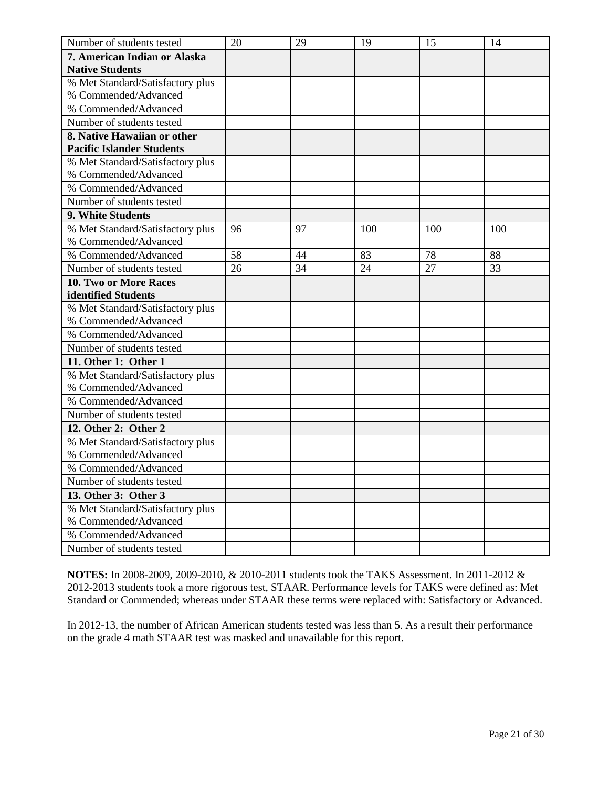| Number of students tested        | 20 | 29 | 19  | 15  | 14  |
|----------------------------------|----|----|-----|-----|-----|
| 7. American Indian or Alaska     |    |    |     |     |     |
| <b>Native Students</b>           |    |    |     |     |     |
| % Met Standard/Satisfactory plus |    |    |     |     |     |
| % Commended/Advanced             |    |    |     |     |     |
| % Commended/Advanced             |    |    |     |     |     |
| Number of students tested        |    |    |     |     |     |
| 8. Native Hawaiian or other      |    |    |     |     |     |
| <b>Pacific Islander Students</b> |    |    |     |     |     |
| % Met Standard/Satisfactory plus |    |    |     |     |     |
| % Commended/Advanced             |    |    |     |     |     |
| % Commended/Advanced             |    |    |     |     |     |
| Number of students tested        |    |    |     |     |     |
| 9. White Students                |    |    |     |     |     |
| % Met Standard/Satisfactory plus | 96 | 97 | 100 | 100 | 100 |
| % Commended/Advanced             |    |    |     |     |     |
| % Commended/Advanced             | 58 | 44 | 83  | 78  | 88  |
| Number of students tested        | 26 | 34 | 24  | 27  | 33  |
| <b>10. Two or More Races</b>     |    |    |     |     |     |
| identified Students              |    |    |     |     |     |
| % Met Standard/Satisfactory plus |    |    |     |     |     |
| % Commended/Advanced             |    |    |     |     |     |
| % Commended/Advanced             |    |    |     |     |     |
| Number of students tested        |    |    |     |     |     |
| 11. Other 1: Other 1             |    |    |     |     |     |
| % Met Standard/Satisfactory plus |    |    |     |     |     |
| % Commended/Advanced             |    |    |     |     |     |
| % Commended/Advanced             |    |    |     |     |     |
| Number of students tested        |    |    |     |     |     |
| 12. Other 2: Other 2             |    |    |     |     |     |
| % Met Standard/Satisfactory plus |    |    |     |     |     |
| % Commended/Advanced             |    |    |     |     |     |
| % Commended/Advanced             |    |    |     |     |     |
| Number of students tested        |    |    |     |     |     |
| 13. Other 3: Other 3             |    |    |     |     |     |
| % Met Standard/Satisfactory plus |    |    |     |     |     |
| % Commended/Advanced             |    |    |     |     |     |
| % Commended/Advanced             |    |    |     |     |     |
| Number of students tested        |    |    |     |     |     |

In 2012-13, the number of African American students tested was less than 5. As a result their performance on the grade 4 math STAAR test was masked and unavailable for this report.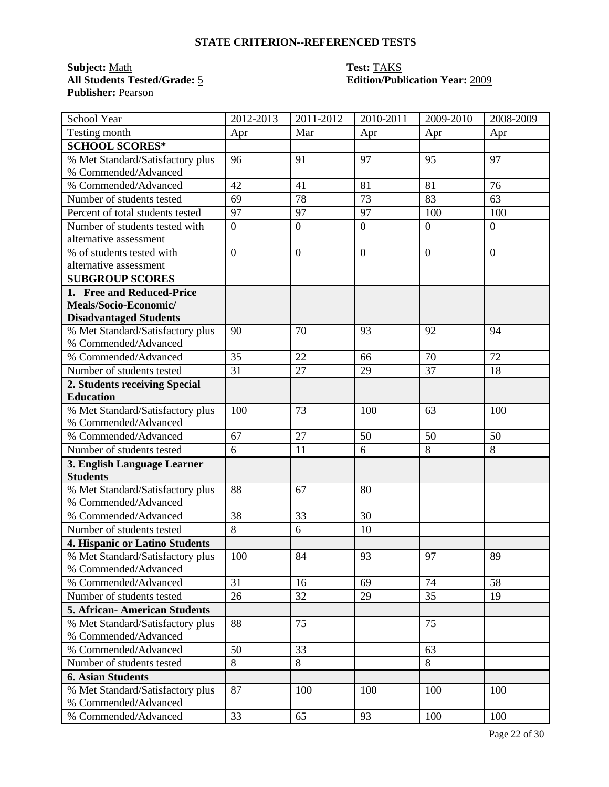### **Subject:** <u>Math</u><br> **All Students Tested/Grade:** <u>5</u> **Test: TAKS**<br> **Edition/Pub Publisher:** Pearson

# **All Students Tested/Grade:** 5 **Edition/Publication Year:** 2009

| School Year                                              | 2012-2013        | 2011-2012        | 2010-2011        | 2009-2010        | 2008-2009      |
|----------------------------------------------------------|------------------|------------------|------------------|------------------|----------------|
| Testing month                                            | Apr              | Mar              | Apr              | Apr              | Apr            |
| <b>SCHOOL SCORES*</b>                                    |                  |                  |                  |                  |                |
| % Met Standard/Satisfactory plus                         | 96               | 91               | 97               | 95               | 97             |
| % Commended/Advanced                                     |                  |                  |                  |                  |                |
| % Commended/Advanced                                     | 42               | 41               | 81               | 81               | 76             |
| Number of students tested                                | 69               | 78               | 73               | 83               | 63             |
| Percent of total students tested                         | 97               | 97               | 97               | 100              | 100            |
| Number of students tested with                           | $\boldsymbol{0}$ | $\boldsymbol{0}$ | $\overline{0}$   | $\overline{0}$   | $\overline{0}$ |
| alternative assessment                                   |                  |                  |                  |                  |                |
| % of students tested with                                | $\overline{0}$   | $\boldsymbol{0}$ | $\boldsymbol{0}$ | $\boldsymbol{0}$ | $\overline{0}$ |
| alternative assessment                                   |                  |                  |                  |                  |                |
| <b>SUBGROUP SCORES</b>                                   |                  |                  |                  |                  |                |
| 1. Free and Reduced-Price                                |                  |                  |                  |                  |                |
| Meals/Socio-Economic/                                    |                  |                  |                  |                  |                |
| <b>Disadvantaged Students</b>                            |                  |                  |                  |                  |                |
| % Met Standard/Satisfactory plus                         | 90               | 70               | 93               | 92               | 94             |
| % Commended/Advanced                                     |                  |                  |                  |                  |                |
| % Commended/Advanced                                     | 35               | 22               | 66               | 70               | 72             |
| Number of students tested                                | 31               | 27               | 29               | 37               | 18             |
| 2. Students receiving Special                            |                  |                  |                  |                  |                |
| <b>Education</b>                                         |                  |                  |                  |                  |                |
| % Met Standard/Satisfactory plus                         | 100              | 73               | 100              | 63               | 100            |
| % Commended/Advanced                                     |                  |                  |                  |                  |                |
| % Commended/Advanced                                     | 67               | 27               | 50               | 50               | 50             |
| Number of students tested                                | 6                | 11               | 6                | 8                | 8              |
| 3. English Language Learner                              |                  |                  |                  |                  |                |
| <b>Students</b>                                          |                  |                  |                  |                  |                |
| % Met Standard/Satisfactory plus                         | 88               | 67               | 80               |                  |                |
| % Commended/Advanced                                     |                  |                  |                  |                  |                |
| % Commended/Advanced                                     | 38               | 33               | 30               |                  |                |
| Number of students tested                                | 8                | 6                | 10               |                  |                |
| 4. Hispanic or Latino Students                           |                  |                  |                  |                  |                |
| % Met Standard/Satisfactory plus                         | 100              | 84               | 93               | 97               | 89             |
| % Commended/Advanced                                     |                  |                  |                  |                  |                |
| % Commended/Advanced                                     | 31               | 16               | 69               | 74               | 58             |
| Number of students tested                                | 26               | 32               | 29               | 35               | 19             |
| 5. African-American Students                             |                  |                  |                  |                  |                |
| % Met Standard/Satisfactory plus                         | 88               | 75               |                  | 75               |                |
| % Commended/Advanced                                     |                  |                  |                  |                  |                |
| % Commended/Advanced                                     | 50               | 33               |                  | 63               |                |
| Number of students tested                                | 8                | 8                |                  | 8                |                |
| <b>6. Asian Students</b>                                 |                  |                  |                  |                  |                |
| % Met Standard/Satisfactory plus<br>% Commended/Advanced | 87               | 100              | 100              | 100              | 100            |
| % Commended/Advanced                                     | 33               | 65               | 93               | 100              | 100            |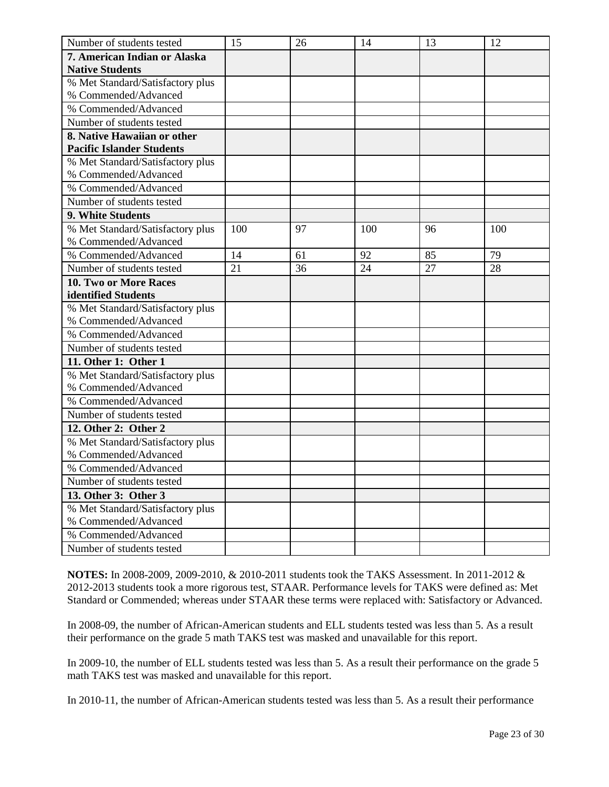| Number of students tested        | 15  | 26 | 14  | 13 | 12  |
|----------------------------------|-----|----|-----|----|-----|
| 7. American Indian or Alaska     |     |    |     |    |     |
| <b>Native Students</b>           |     |    |     |    |     |
| % Met Standard/Satisfactory plus |     |    |     |    |     |
| % Commended/Advanced             |     |    |     |    |     |
| % Commended/Advanced             |     |    |     |    |     |
| Number of students tested        |     |    |     |    |     |
| 8. Native Hawaiian or other      |     |    |     |    |     |
| <b>Pacific Islander Students</b> |     |    |     |    |     |
| % Met Standard/Satisfactory plus |     |    |     |    |     |
| % Commended/Advanced             |     |    |     |    |     |
| % Commended/Advanced             |     |    |     |    |     |
| Number of students tested        |     |    |     |    |     |
| 9. White Students                |     |    |     |    |     |
| % Met Standard/Satisfactory plus | 100 | 97 | 100 | 96 | 100 |
| % Commended/Advanced             |     |    |     |    |     |
| % Commended/Advanced             | 14  | 61 | 92  | 85 | 79  |
| Number of students tested        | 21  | 36 | 24  | 27 | 28  |
| 10. Two or More Races            |     |    |     |    |     |
| identified Students              |     |    |     |    |     |
| % Met Standard/Satisfactory plus |     |    |     |    |     |
| % Commended/Advanced             |     |    |     |    |     |
| % Commended/Advanced             |     |    |     |    |     |
| Number of students tested        |     |    |     |    |     |
| 11. Other 1: Other 1             |     |    |     |    |     |
| % Met Standard/Satisfactory plus |     |    |     |    |     |
| % Commended/Advanced             |     |    |     |    |     |
| % Commended/Advanced             |     |    |     |    |     |
| Number of students tested        |     |    |     |    |     |
| 12. Other 2: Other 2             |     |    |     |    |     |
| % Met Standard/Satisfactory plus |     |    |     |    |     |
| % Commended/Advanced             |     |    |     |    |     |
| % Commended/Advanced             |     |    |     |    |     |
| Number of students tested        |     |    |     |    |     |
| 13. Other 3: Other 3             |     |    |     |    |     |
| % Met Standard/Satisfactory plus |     |    |     |    |     |
| % Commended/Advanced             |     |    |     |    |     |
| % Commended/Advanced             |     |    |     |    |     |
| Number of students tested        |     |    |     |    |     |

In 2008-09, the number of African-American students and ELL students tested was less than 5. As a result their performance on the grade 5 math TAKS test was masked and unavailable for this report.

In 2009-10, the number of ELL students tested was less than 5. As a result their performance on the grade 5 math TAKS test was masked and unavailable for this report.

In 2010-11, the number of African-American students tested was less than 5. As a result their performance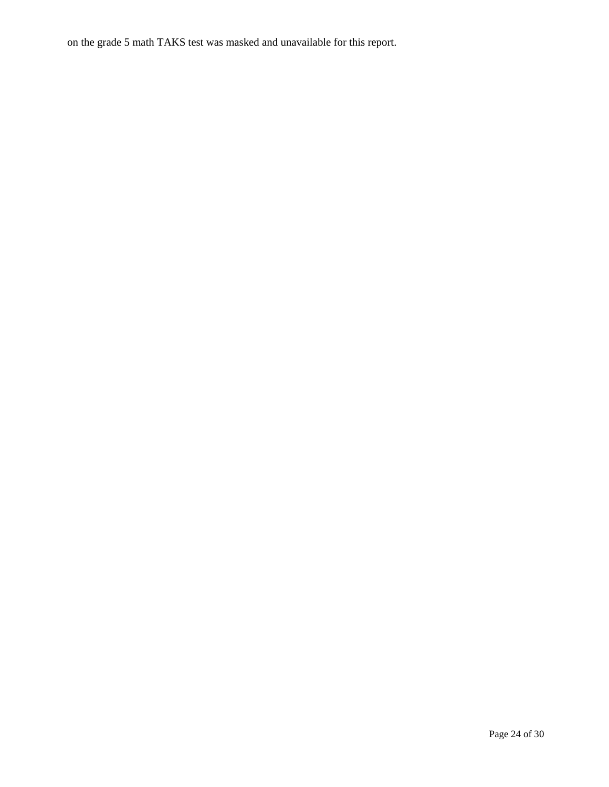on the grade 5 math TAKS test was masked and unavailable for this report.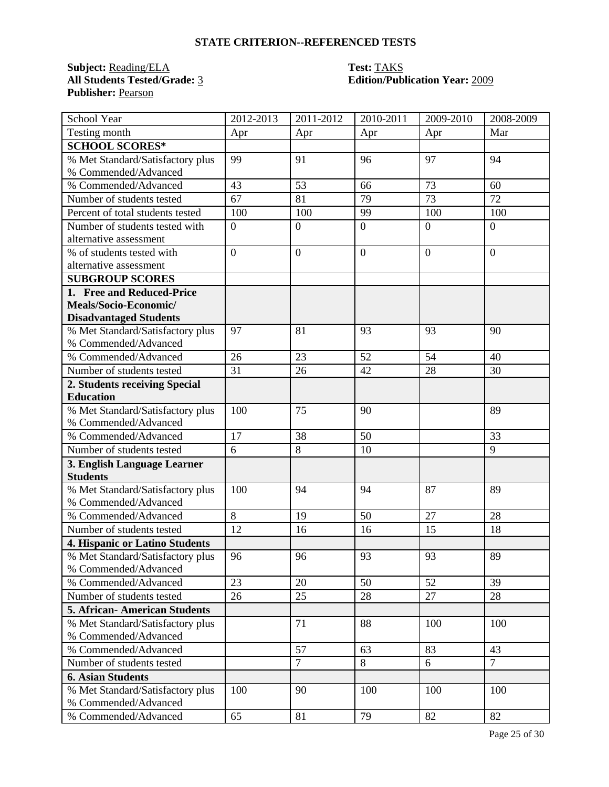### **Subject:** <u>Reading/ELA</u> **Test: TAKS**<br> **All Students Tested/Grade:** 3 **Edition/Public 2 Publisher:** Pearson

## **All Students Tested/Grade:** 3 **Edition/Publication Year:** 2009

| School Year                                              | 2012-2013      | 2011-2012        | 2010-2011      | 2009-2010      | 2008-2009      |
|----------------------------------------------------------|----------------|------------------|----------------|----------------|----------------|
| Testing month                                            | Apr            | Apr              | Apr            | Apr            | Mar            |
| <b>SCHOOL SCORES*</b>                                    |                |                  |                |                |                |
| % Met Standard/Satisfactory plus                         | 99             | 91               | 96             | 97             | 94             |
| % Commended/Advanced                                     |                |                  |                |                |                |
| % Commended/Advanced                                     | 43             | 53               | 66             | 73             | 60             |
| Number of students tested                                | 67             | 81               | 79             | 73             | 72             |
| Percent of total students tested                         | 100            | 100              | 99             | 100            | 100            |
| Number of students tested with                           | $\overline{0}$ | $\boldsymbol{0}$ | $\overline{0}$ | $\overline{0}$ | $\overline{0}$ |
| alternative assessment                                   |                |                  |                |                |                |
| % of students tested with                                | $\overline{0}$ | $\overline{0}$   | $\overline{0}$ | $\overline{0}$ | $\overline{0}$ |
| alternative assessment                                   |                |                  |                |                |                |
| <b>SUBGROUP SCORES</b>                                   |                |                  |                |                |                |
| 1. Free and Reduced-Price                                |                |                  |                |                |                |
| Meals/Socio-Economic/                                    |                |                  |                |                |                |
| <b>Disadvantaged Students</b>                            |                |                  |                |                |                |
| % Met Standard/Satisfactory plus                         | 97             | 81               | 93             | 93             | 90             |
| % Commended/Advanced                                     |                |                  |                |                |                |
| % Commended/Advanced                                     | 26             | 23               | 52             | 54             | 40             |
| Number of students tested                                | 31             | 26               | 42             | 28             | 30             |
| 2. Students receiving Special                            |                |                  |                |                |                |
| <b>Education</b>                                         |                |                  |                |                |                |
| % Met Standard/Satisfactory plus                         | 100            | 75               | 90             |                | 89             |
| % Commended/Advanced                                     |                |                  |                |                |                |
| % Commended/Advanced                                     | 17             | 38               | 50             |                | 33             |
| Number of students tested                                | 6              | 8                | 10             |                | 9              |
| 3. English Language Learner<br><b>Students</b>           |                |                  |                |                |                |
|                                                          | 100            | 94               | 94             | 87             | 89             |
| % Met Standard/Satisfactory plus<br>% Commended/Advanced |                |                  |                |                |                |
| % Commended/Advanced                                     | 8              | 19               | 50             | 27             | 28             |
| Number of students tested                                | 12             | 16               | 16             | 15             | 18             |
| <b>4. Hispanic or Latino Students</b>                    |                |                  |                |                |                |
| % Met Standard/Satisfactory plus                         | 96             | 96               | 93             | 93             | 89             |
| % Commended/Advanced                                     |                |                  |                |                |                |
| % Commended/Advanced                                     | 23             | 20               | 50             | 52             | 39             |
| Number of students tested                                | 26             | 25               | 28             | 27             | 28             |
| <b>5. African-American Students</b>                      |                |                  |                |                |                |
| % Met Standard/Satisfactory plus                         |                | 71               | 88             | 100            | 100            |
| % Commended/Advanced                                     |                |                  |                |                |                |
| % Commended/Advanced                                     |                | 57               | 63             | 83             | 43             |
| Number of students tested                                |                | $\overline{7}$   | $8\,$          | 6              | $\overline{7}$ |
| <b>6. Asian Students</b>                                 |                |                  |                |                |                |
| % Met Standard/Satisfactory plus                         | 100            | 90               | 100            | 100            | 100            |
| % Commended/Advanced                                     |                |                  |                |                |                |
| % Commended/Advanced                                     | 65             | 81               | 79             | 82             | 82             |
|                                                          |                |                  |                |                |                |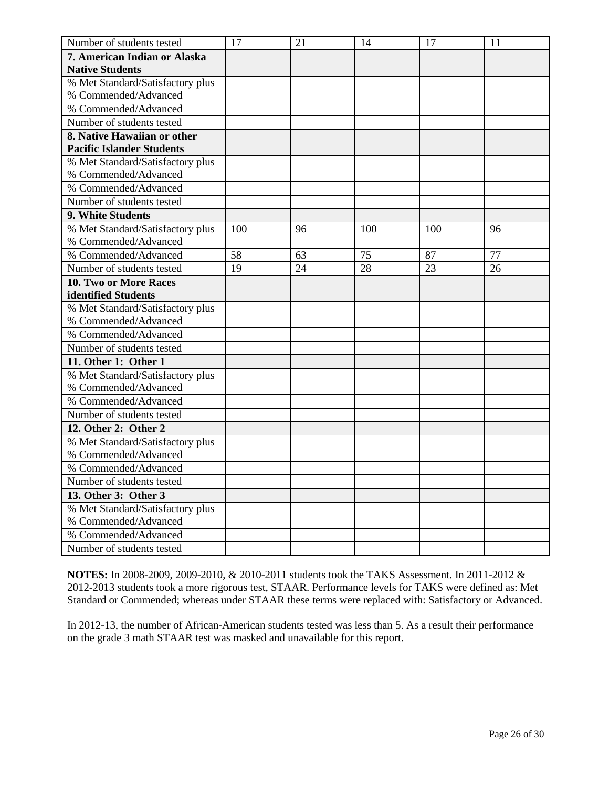| Number of students tested        | 17  | 21 | 14  | 17  | 11 |
|----------------------------------|-----|----|-----|-----|----|
| 7. American Indian or Alaska     |     |    |     |     |    |
| <b>Native Students</b>           |     |    |     |     |    |
| % Met Standard/Satisfactory plus |     |    |     |     |    |
| % Commended/Advanced             |     |    |     |     |    |
| % Commended/Advanced             |     |    |     |     |    |
| Number of students tested        |     |    |     |     |    |
| 8. Native Hawaiian or other      |     |    |     |     |    |
| <b>Pacific Islander Students</b> |     |    |     |     |    |
| % Met Standard/Satisfactory plus |     |    |     |     |    |
| % Commended/Advanced             |     |    |     |     |    |
| % Commended/Advanced             |     |    |     |     |    |
| Number of students tested        |     |    |     |     |    |
| 9. White Students                |     |    |     |     |    |
| % Met Standard/Satisfactory plus | 100 | 96 | 100 | 100 | 96 |
| % Commended/Advanced             |     |    |     |     |    |
| % Commended/Advanced             | 58  | 63 | 75  | 87  | 77 |
| Number of students tested        | 19  | 24 | 28  | 23  | 26 |
| <b>10. Two or More Races</b>     |     |    |     |     |    |
| identified Students              |     |    |     |     |    |
| % Met Standard/Satisfactory plus |     |    |     |     |    |
| % Commended/Advanced             |     |    |     |     |    |
| % Commended/Advanced             |     |    |     |     |    |
| Number of students tested        |     |    |     |     |    |
| 11. Other 1: Other 1             |     |    |     |     |    |
| % Met Standard/Satisfactory plus |     |    |     |     |    |
| % Commended/Advanced             |     |    |     |     |    |
| % Commended/Advanced             |     |    |     |     |    |
| Number of students tested        |     |    |     |     |    |
| 12. Other 2: Other 2             |     |    |     |     |    |
| % Met Standard/Satisfactory plus |     |    |     |     |    |
| % Commended/Advanced             |     |    |     |     |    |
| % Commended/Advanced             |     |    |     |     |    |
| Number of students tested        |     |    |     |     |    |
| 13. Other 3: Other 3             |     |    |     |     |    |
| % Met Standard/Satisfactory plus |     |    |     |     |    |
| % Commended/Advanced             |     |    |     |     |    |
| % Commended/Advanced             |     |    |     |     |    |
| Number of students tested        |     |    |     |     |    |

In 2012-13, the number of African-American students tested was less than 5. As a result their performance on the grade 3 math STAAR test was masked and unavailable for this report.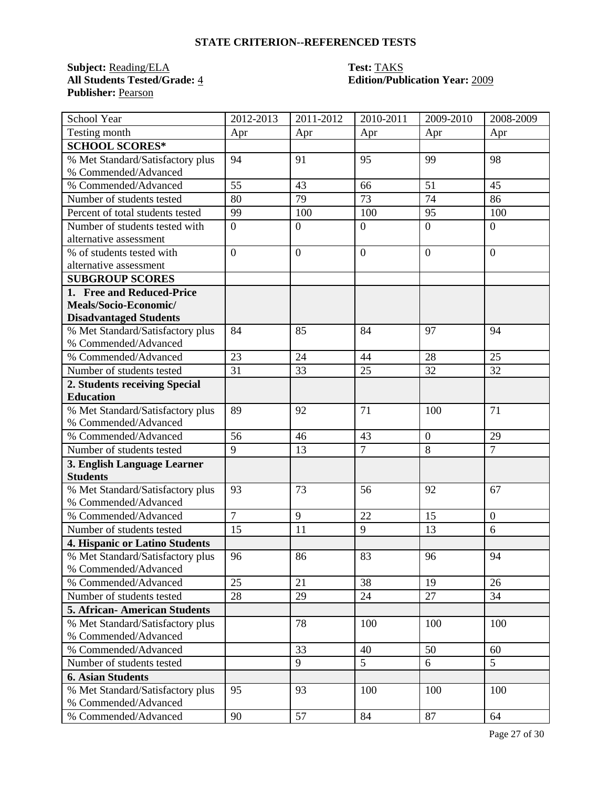### **Subject:** <u>Reading/ELA</u> **Test: TAKS**<br> **All Students Tested/Grade:** 4 **Edition/Public Edition Publisher:** Pearson

## **All Students Tested/Grade:** 4 **Edition/Publication Year:** 2009

| School Year                                              | 2012-2013      | 2011-2012        | 2010-2011      | 2009-2010      | 2008-2009      |
|----------------------------------------------------------|----------------|------------------|----------------|----------------|----------------|
| Testing month                                            | Apr            | Apr              | Apr            | Apr            | Apr            |
| <b>SCHOOL SCORES*</b>                                    |                |                  |                |                |                |
| % Met Standard/Satisfactory plus                         | 94             | 91               | 95             | 99             | 98             |
| % Commended/Advanced                                     |                |                  |                |                |                |
| % Commended/Advanced                                     | 55             | 43               | 66             | 51             | 45             |
| Number of students tested                                | 80             | 79               | 73             | 74             | 86             |
| Percent of total students tested                         | 99             | 100              | 100            | 95             | 100            |
| Number of students tested with                           | $\overline{0}$ | $\overline{0}$   | $\overline{0}$ | $\overline{0}$ | $\overline{0}$ |
| alternative assessment                                   |                |                  |                |                |                |
| % of students tested with                                | $\overline{0}$ | $\boldsymbol{0}$ | $\overline{0}$ | $\overline{0}$ | $\overline{0}$ |
| alternative assessment                                   |                |                  |                |                |                |
| <b>SUBGROUP SCORES</b>                                   |                |                  |                |                |                |
| 1. Free and Reduced-Price                                |                |                  |                |                |                |
| Meals/Socio-Economic/                                    |                |                  |                |                |                |
| <b>Disadvantaged Students</b>                            |                |                  |                |                |                |
| % Met Standard/Satisfactory plus                         | 84             | 85               | 84             | 97             | 94             |
| % Commended/Advanced                                     |                |                  |                |                |                |
| % Commended/Advanced                                     | 23             | 24               | 44             | 28             | 25             |
| Number of students tested                                | 31             | 33               | 25             | 32             | 32             |
| 2. Students receiving Special                            |                |                  |                |                |                |
| <b>Education</b>                                         |                |                  |                |                |                |
| % Met Standard/Satisfactory plus                         | 89             | 92               | 71             | 100            | 71             |
| % Commended/Advanced                                     |                |                  |                |                |                |
| % Commended/Advanced                                     | 56             | 46               | 43             | $\overline{0}$ | 29             |
| Number of students tested                                | 9              | 13               | $\overline{7}$ | 8              | $\overline{7}$ |
| 3. English Language Learner<br><b>Students</b>           |                |                  |                |                |                |
|                                                          | 93             | 73               | 56             | 92             | 67             |
| % Met Standard/Satisfactory plus<br>% Commended/Advanced |                |                  |                |                |                |
| % Commended/Advanced                                     | $\overline{7}$ | 9                | 22             | 15             | $\mathbf{0}$   |
| Number of students tested                                | 15             | 11               | 9              | 13             | 6              |
| <b>4. Hispanic or Latino Students</b>                    |                |                  |                |                |                |
| % Met Standard/Satisfactory plus                         | 96             | 86               | 83             | 96             | 94             |
| % Commended/Advanced                                     |                |                  |                |                |                |
| % Commended/Advanced                                     | 25             | 21               | 38             | 19             | 26             |
| Number of students tested                                | 28             | 29               | 24             | 27             | 34             |
| <b>5. African- American Students</b>                     |                |                  |                |                |                |
| % Met Standard/Satisfactory plus                         |                | 78               | 100            | 100            | 100            |
| % Commended/Advanced                                     |                |                  |                |                |                |
| % Commended/Advanced                                     |                | 33               | 40             | 50             | 60             |
| Number of students tested                                |                | 9                | $\overline{5}$ | 6              | 5              |
| <b>6. Asian Students</b>                                 |                |                  |                |                |                |
| % Met Standard/Satisfactory plus                         | 95             | 93               | 100            | 100            | 100            |
| % Commended/Advanced                                     |                |                  |                |                |                |
| % Commended/Advanced                                     | 90             | 57               | 84             | 87             | 64             |
|                                                          |                |                  |                |                |                |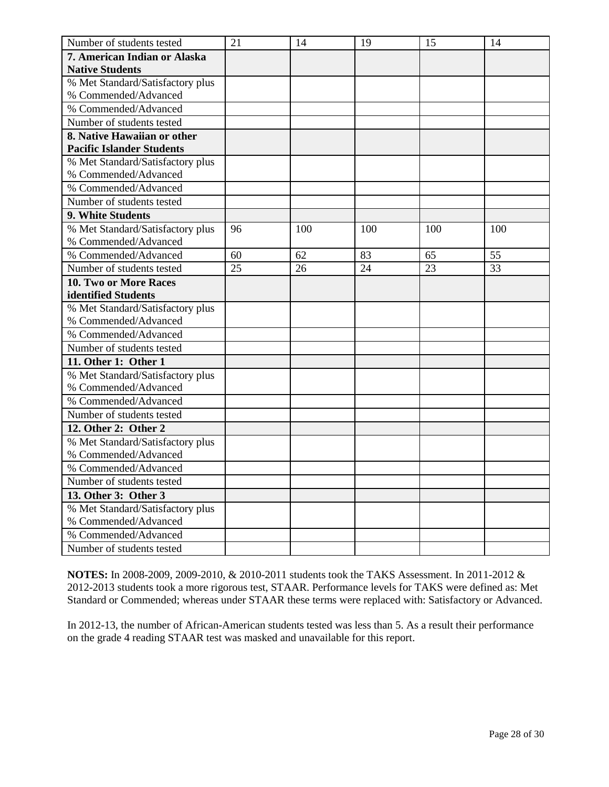| Number of students tested        | 21 | 14  | 19  | 15  | 14  |
|----------------------------------|----|-----|-----|-----|-----|
| 7. American Indian or Alaska     |    |     |     |     |     |
| <b>Native Students</b>           |    |     |     |     |     |
| % Met Standard/Satisfactory plus |    |     |     |     |     |
| % Commended/Advanced             |    |     |     |     |     |
| % Commended/Advanced             |    |     |     |     |     |
| Number of students tested        |    |     |     |     |     |
| 8. Native Hawaiian or other      |    |     |     |     |     |
| <b>Pacific Islander Students</b> |    |     |     |     |     |
| % Met Standard/Satisfactory plus |    |     |     |     |     |
| % Commended/Advanced             |    |     |     |     |     |
| % Commended/Advanced             |    |     |     |     |     |
| Number of students tested        |    |     |     |     |     |
| 9. White Students                |    |     |     |     |     |
| % Met Standard/Satisfactory plus | 96 | 100 | 100 | 100 | 100 |
| % Commended/Advanced             |    |     |     |     |     |
| % Commended/Advanced             | 60 | 62  | 83  | 65  | 55  |
| Number of students tested        | 25 | 26  | 24  | 23  | 33  |
| <b>10. Two or More Races</b>     |    |     |     |     |     |
| identified Students              |    |     |     |     |     |
| % Met Standard/Satisfactory plus |    |     |     |     |     |
| % Commended/Advanced             |    |     |     |     |     |
| % Commended/Advanced             |    |     |     |     |     |
| Number of students tested        |    |     |     |     |     |
| 11. Other 1: Other 1             |    |     |     |     |     |
| % Met Standard/Satisfactory plus |    |     |     |     |     |
| % Commended/Advanced             |    |     |     |     |     |
| % Commended/Advanced             |    |     |     |     |     |
| Number of students tested        |    |     |     |     |     |
| 12. Other 2: Other 2             |    |     |     |     |     |
| % Met Standard/Satisfactory plus |    |     |     |     |     |
| % Commended/Advanced             |    |     |     |     |     |
| % Commended/Advanced             |    |     |     |     |     |
| Number of students tested        |    |     |     |     |     |
| 13. Other 3: Other 3             |    |     |     |     |     |
| % Met Standard/Satisfactory plus |    |     |     |     |     |
| % Commended/Advanced             |    |     |     |     |     |
| % Commended/Advanced             |    |     |     |     |     |
| Number of students tested        |    |     |     |     |     |

In 2012-13, the number of African-American students tested was less than 5. As a result their performance on the grade 4 reading STAAR test was masked and unavailable for this report.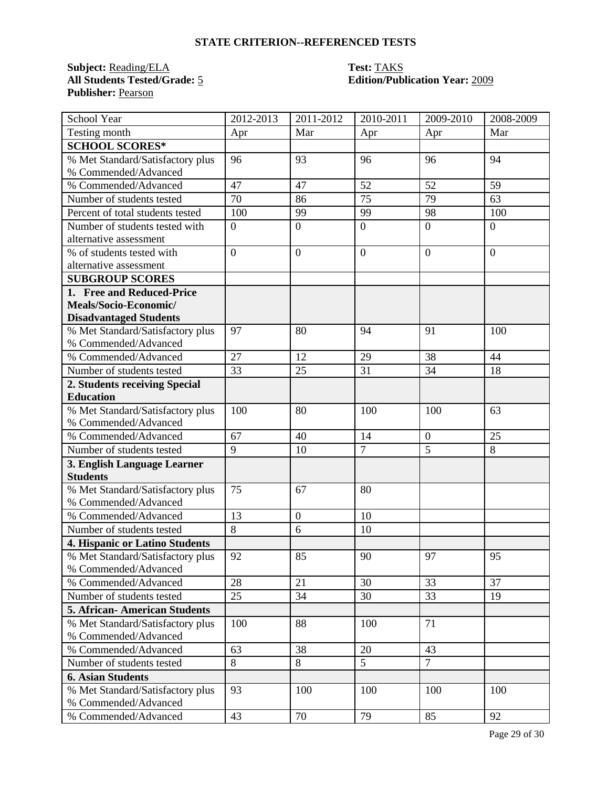### **Subject:** <u>Reading/ELA</u> **Test: TAKS**<br> **All Students Tested/Grade:** 5 **Edition/Public Edition Publisher:** Pearson

## **All Students Tested/Grade:** 5 **Edition/Publication Year:** 2009

| School Year                                    | 2012-2013      | 2011-2012      | 2010-2011      | 2009-2010      | 2008-2009      |
|------------------------------------------------|----------------|----------------|----------------|----------------|----------------|
| Testing month                                  | Apr            | Mar            | Apr            | Apr            | Mar            |
| <b>SCHOOL SCORES*</b>                          |                |                |                |                |                |
| % Met Standard/Satisfactory plus               | 96             | 93             | 96             | 96             | 94             |
| % Commended/Advanced                           |                |                |                |                |                |
| % Commended/Advanced                           | 47             | 47             | 52             | 52             | 59             |
| Number of students tested                      | 70             | 86             | 75             | 79             | 63             |
| Percent of total students tested               | 100            | 99             | 99             | 98             | 100            |
| Number of students tested with                 | $\overline{0}$ | $\overline{0}$ | $\overline{0}$ | $\overline{0}$ | $\overline{0}$ |
| alternative assessment                         |                |                |                |                |                |
| % of students tested with                      | $\overline{0}$ | $\overline{0}$ | $\overline{0}$ | $\overline{0}$ | $\overline{0}$ |
| alternative assessment                         |                |                |                |                |                |
| <b>SUBGROUP SCORES</b>                         |                |                |                |                |                |
| 1. Free and Reduced-Price                      |                |                |                |                |                |
| Meals/Socio-Economic/                          |                |                |                |                |                |
| <b>Disadvantaged Students</b>                  |                |                |                |                |                |
| % Met Standard/Satisfactory plus               | 97             | 80             | 94             | 91             | 100            |
| % Commended/Advanced                           |                |                |                |                |                |
| % Commended/Advanced                           | 27             | 12             | 29             | 38             | 44             |
| Number of students tested                      | 33             | 25             | 31             | 34             | 18             |
| 2. Students receiving Special                  |                |                |                |                |                |
| <b>Education</b>                               |                |                |                |                |                |
| % Met Standard/Satisfactory plus               | 100            | 80             | 100            | 100            | 63             |
| % Commended/Advanced                           |                |                |                |                |                |
| % Commended/Advanced                           | 67             | 40             | 14             | $\overline{0}$ | 25             |
| Number of students tested                      | 9              | 10             | $\overline{7}$ | 5              | 8              |
| 3. English Language Learner<br><b>Students</b> |                |                |                |                |                |
| % Met Standard/Satisfactory plus               | 75             | 67             | 80             |                |                |
| % Commended/Advanced                           |                |                |                |                |                |
| % Commended/Advanced                           | 13             | $\overline{0}$ | 10             |                |                |
| Number of students tested                      | 8              | 6              | 10             |                |                |
| <b>4. Hispanic or Latino Students</b>          |                |                |                |                |                |
| % Met Standard/Satisfactory plus               | 92             | 85             | 90             | 97             | 95             |
| % Commended/Advanced                           |                |                |                |                |                |
| % Commended/Advanced                           | 28             | 21             | 30             | 33             | 37             |
| Number of students tested                      | 25             | 34             | 30             | 33             | 19             |
| <b>5. African-American Students</b>            |                |                |                |                |                |
| % Met Standard/Satisfactory plus               | 100            | 88             | 100            | 71             |                |
| % Commended/Advanced                           |                |                |                |                |                |
| % Commended/Advanced                           | 63             | 38             | 20             | 43             |                |
| Number of students tested                      | 8              | 8              | 5              | $\overline{7}$ |                |
| <b>6. Asian Students</b>                       |                |                |                |                |                |
| % Met Standard/Satisfactory plus               | 93             | 100            | 100            | 100            | 100            |
| % Commended/Advanced                           |                |                |                |                |                |
| % Commended/Advanced                           | 43             | 70             | 79             | 85             | 92             |
|                                                |                |                |                |                |                |